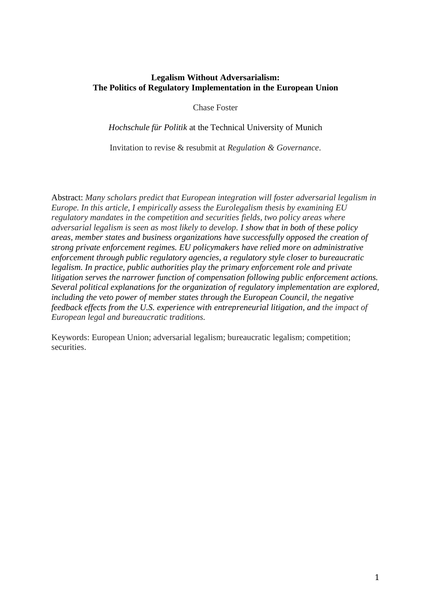## **Legalism Without Adversarialism: The Politics of Regulatory Implementation in the European Union**

Chase Foster

*Hochschule für Politik* at the Technical University of Munich

Invitation to revise & resubmit at *Regulation & Governance*.

Abstract: *Many scholars predict that European integration will foster adversarial legalism in Europe. In this article, I empirically assess the Eurolegalism thesis by examining EU regulatory mandates in the competition and securities fields, two policy areas where adversarial legalism is seen as most likely to develop. I show that in both of these policy areas, member states and business organizations have successfully opposed the creation of strong private enforcement regimes. EU policymakers have relied more on administrative enforcement through public regulatory agencies, a regulatory style closer to bureaucratic legalism. In practice, public authorities play the primary enforcement role and private litigation serves the narrower function of compensation following public enforcement actions. Several political explanations for the organization of regulatory implementation are explored, including the veto power of member states through the European Council, the negative feedback effects from the U.S. experience with entrepreneurial litigation, and the impact of European legal and bureaucratic traditions.*

Keywords: European Union; adversarial legalism; bureaucratic legalism; competition; securities.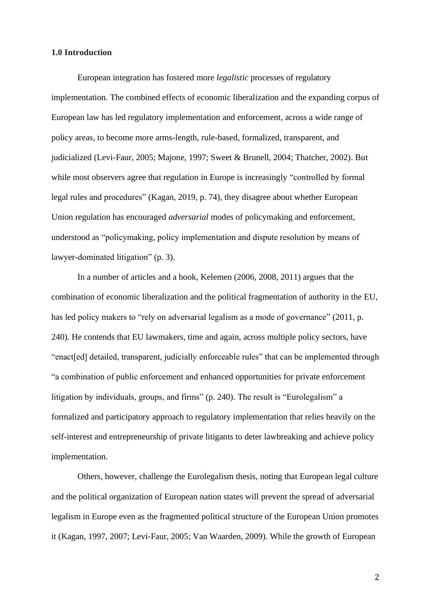## **1.0 Introduction**

European integration has fostered more *legalistic* processes of regulatory implementation*.* The combined effects of economic liberalization and the expanding corpus of European law has led regulatory implementation and enforcement, across a wide range of policy areas, to become more arms-length, rule-based, formalized, transparent, and judicialized (Levi-Faur, 2005; Majone, 1997; Sweet & Brunell, 2004; Thatcher, 2002). But while most observers agree that regulation in Europe is increasingly "controlled by formal legal rules and procedures" (Kagan, 2019, p. 74)*,* they disagree about whether European Union regulation has encouraged *adversarial* modes of policymaking and enforcement, understood as "policymaking, policy implementation and dispute resolution by means of lawyer-dominated litigation" (p. 3).

In a number of articles and a book, Kelemen (2006, 2008, 2011) argues that the combination of economic liberalization and the political fragmentation of authority in the EU, has led policy makers to "rely on adversarial legalism as a mode of governance" (2011, p. 240). He contends that EU lawmakers, time and again, across multiple policy sectors, have "enact[ed] detailed, transparent, judicially enforceable rules" that can be implemented through "a combination of public enforcement and enhanced opportunities for private enforcement litigation by individuals, groups, and firms" (p. 240). The result is "Eurolegalism" a formalized and participatory approach to regulatory implementation that relies heavily on the self-interest and entrepreneurship of private litigants to deter lawbreaking and achieve policy implementation.

Others, however, challenge the Eurolegalism thesis, noting that European legal culture and the political organization of European nation states will prevent the spread of adversarial legalism in Europe even as the fragmented political structure of the European Union promotes it (Kagan, 1997, 2007; Levi-Faur, 2005; Van Waarden, 2009). While the growth of European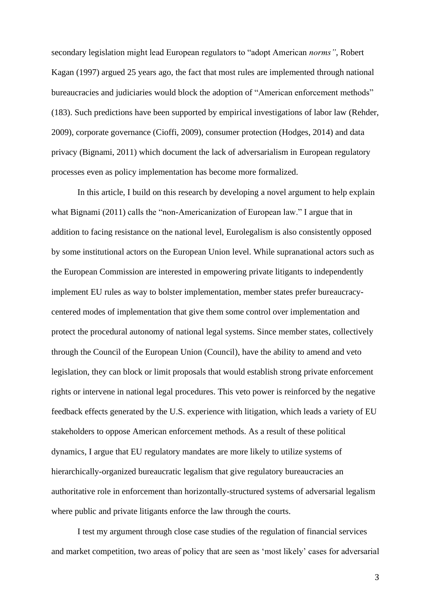secondary legislation might lead European regulators to "adopt American *norms"*, Robert Kagan (1997) argued 25 years ago, the fact that most rules are implemented through national bureaucracies and judiciaries would block the adoption of "American enforcement methods" (183). Such predictions have been supported by empirical investigations of labor law (Rehder, 2009), corporate governance (Cioffi, 2009), consumer protection (Hodges, 2014) and data privacy (Bignami, 2011) which document the lack of adversarialism in European regulatory processes even as policy implementation has become more formalized.

In this article, I build on this research by developing a novel argument to help explain what Bignami (2011) calls the "non-Americanization of European law." I argue that in addition to facing resistance on the national level, Eurolegalism is also consistently opposed by some institutional actors on the European Union level. While supranational actors such as the European Commission are interested in empowering private litigants to independently implement EU rules as way to bolster implementation, member states prefer bureaucracycentered modes of implementation that give them some control over implementation and protect the procedural autonomy of national legal systems. Since member states, collectively through the Council of the European Union (Council), have the ability to amend and veto legislation, they can block or limit proposals that would establish strong private enforcement rights or intervene in national legal procedures. This veto power is reinforced by the negative feedback effects generated by the U.S. experience with litigation, which leads a variety of EU stakeholders to oppose American enforcement methods. As a result of these political dynamics, I argue that EU regulatory mandates are more likely to utilize systems of hierarchically-organized bureaucratic legalism that give regulatory bureaucracies an authoritative role in enforcement than horizontally-structured systems of adversarial legalism where public and private litigants enforce the law through the courts.

I test my argument through close case studies of the regulation of financial services and market competition, two areas of policy that are seen as 'most likely' cases for adversarial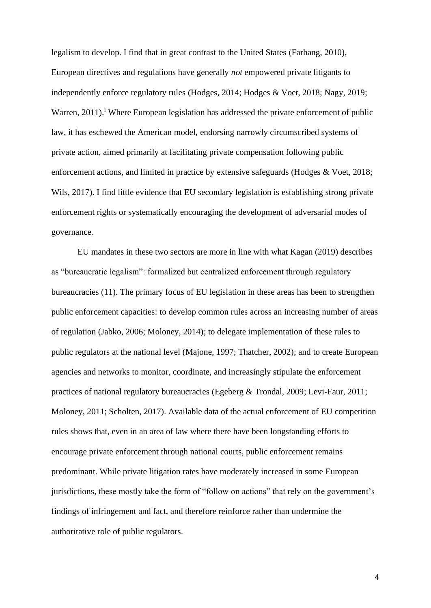legalism to develop. I find that in great contrast to the United States (Farhang, 2010), European directives and regulations have generally *not* empowered private litigants to independently enforce regulatory rules (Hodges, 2014; Hodges & Voet, 2018; Nagy, 2019; Warren, 2011).<sup>1</sup> Where European legislation has addressed the private enforcement of public law, it has eschewed the American model, endorsing narrowly circumscribed systems of private action, aimed primarily at facilitating private compensation following public enforcement actions, and limited in practice by extensive safeguards (Hodges & Voet, 2018; Wils, 2017). I find little evidence that EU secondary legislation is establishing strong private enforcement rights or systematically encouraging the development of adversarial modes of governance.

EU mandates in these two sectors are more in line with what Kagan (2019) describes as "bureaucratic legalism": formalized but centralized enforcement through regulatory bureaucracies (11). The primary focus of EU legislation in these areas has been to strengthen public enforcement capacities: to develop common rules across an increasing number of areas of regulation (Jabko, 2006; Moloney, 2014); to delegate implementation of these rules to public regulators at the national level (Majone, 1997; Thatcher, 2002); and to create European agencies and networks to monitor, coordinate, and increasingly stipulate the enforcement practices of national regulatory bureaucracies (Egeberg & Trondal, 2009; Levi-Faur, 2011; Moloney, 2011; Scholten, 2017). Available data of the actual enforcement of EU competition rules shows that, even in an area of law where there have been longstanding efforts to encourage private enforcement through national courts, public enforcement remains predominant. While private litigation rates have moderately increased in some European jurisdictions, these mostly take the form of "follow on actions" that rely on the government's findings of infringement and fact, and therefore reinforce rather than undermine the authoritative role of public regulators.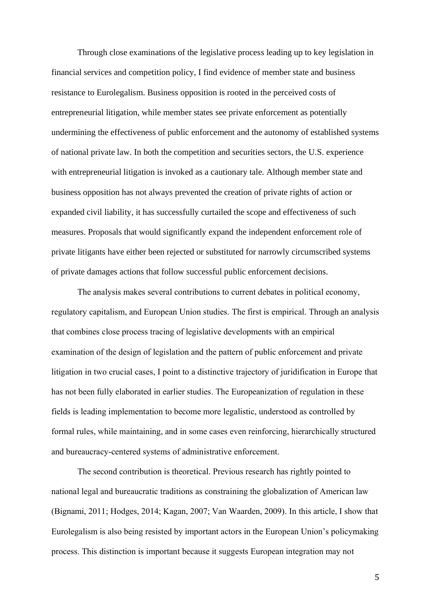Through close examinations of the legislative process leading up to key legislation in financial services and competition policy, I find evidence of member state and business resistance to Eurolegalism. Business opposition is rooted in the perceived costs of entrepreneurial litigation, while member states see private enforcement as potentially undermining the effectiveness of public enforcement and the autonomy of established systems of national private law. In both the competition and securities sectors, the U.S. experience with entrepreneurial litigation is invoked as a cautionary tale. Although member state and business opposition has not always prevented the creation of private rights of action or expanded civil liability, it has successfully curtailed the scope and effectiveness of such measures. Proposals that would significantly expand the independent enforcement role of private litigants have either been rejected or substituted for narrowly circumscribed systems of private damages actions that follow successful public enforcement decisions.

The analysis makes several contributions to current debates in political economy, regulatory capitalism, and European Union studies. The first is empirical. Through an analysis that combines close process tracing of legislative developments with an empirical examination of the design of legislation and the pattern of public enforcement and private litigation in two crucial cases, I point to a distinctive trajectory of juridification in Europe that has not been fully elaborated in earlier studies. The Europeanization of regulation in these fields is leading implementation to become more legalistic, understood as controlled by formal rules, while maintaining, and in some cases even reinforcing, hierarchically structured and bureaucracy-centered systems of administrative enforcement.

The second contribution is theoretical. Previous research has rightly pointed to national legal and bureaucratic traditions as constraining the globalization of American law (Bignami, 2011; Hodges, 2014; Kagan, 2007; Van Waarden, 2009). In this article, I show that Eurolegalism is also being resisted by important actors in the European Union's policymaking process. This distinction is important because it suggests European integration may not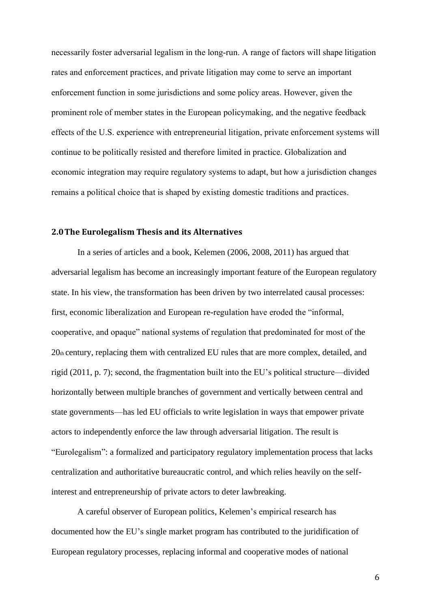necessarily foster adversarial legalism in the long-run. A range of factors will shape litigation rates and enforcement practices, and private litigation may come to serve an important enforcement function in some jurisdictions and some policy areas. However, given the prominent role of member states in the European policymaking, and the negative feedback effects of the U.S. experience with entrepreneurial litigation, private enforcement systems will continue to be politically resisted and therefore limited in practice. Globalization and economic integration may require regulatory systems to adapt, but how a jurisdiction changes remains a political choice that is shaped by existing domestic traditions and practices.

## **2.0The Eurolegalism Thesis and its Alternatives**

In a series of articles and a book, Kelemen (2006, 2008, 2011) has argued that adversarial legalism has become an increasingly important feature of the European regulatory state. In his view, the transformation has been driven by two interrelated causal processes: first, economic liberalization and European re-regulation have eroded the "informal, cooperative, and opaque" national systems of regulation that predominated for most of the 20th century, replacing them with centralized EU rules that are more complex, detailed, and rigid (2011, p. 7); second, the fragmentation built into the EU's political structure—divided horizontally between multiple branches of government and vertically between central and state governments—has led EU officials to write legislation in ways that empower private actors to independently enforce the law through adversarial litigation. The result is "Eurolegalism": a formalized and participatory regulatory implementation process that lacks centralization and authoritative bureaucratic control, and which relies heavily on the selfinterest and entrepreneurship of private actors to deter lawbreaking.

A careful observer of European politics, Kelemen's empirical research has documented how the EU's single market program has contributed to the juridification of European regulatory processes, replacing informal and cooperative modes of national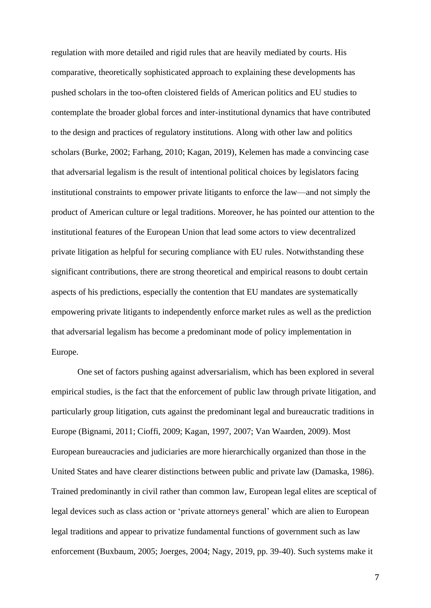regulation with more detailed and rigid rules that are heavily mediated by courts. His comparative, theoretically sophisticated approach to explaining these developments has pushed scholars in the too-often cloistered fields of American politics and EU studies to contemplate the broader global forces and inter-institutional dynamics that have contributed to the design and practices of regulatory institutions. Along with other law and politics scholars (Burke, 2002; Farhang, 2010; Kagan, 2019), Kelemen has made a convincing case that adversarial legalism is the result of intentional political choices by legislators facing institutional constraints to empower private litigants to enforce the law—and not simply the product of American culture or legal traditions. Moreover, he has pointed our attention to the institutional features of the European Union that lead some actors to view decentralized private litigation as helpful for securing compliance with EU rules. Notwithstanding these significant contributions, there are strong theoretical and empirical reasons to doubt certain aspects of his predictions, especially the contention that EU mandates are systematically empowering private litigants to independently enforce market rules as well as the prediction that adversarial legalism has become a predominant mode of policy implementation in Europe.

One set of factors pushing against adversarialism, which has been explored in several empirical studies, is the fact that the enforcement of public law through private litigation, and particularly group litigation, cuts against the predominant legal and bureaucratic traditions in Europe (Bignami, 2011; Cioffi, 2009; Kagan, 1997, 2007; Van Waarden, 2009). Most European bureaucracies and judiciaries are more hierarchically organized than those in the United States and have clearer distinctions between public and private law (Damaska, 1986). Trained predominantly in civil rather than common law, European legal elites are sceptical of legal devices such as class action or 'private attorneys general' which are alien to European legal traditions and appear to privatize fundamental functions of government such as law enforcement (Buxbaum, 2005; Joerges, 2004; Nagy, 2019, pp. 39-40). Such systems make it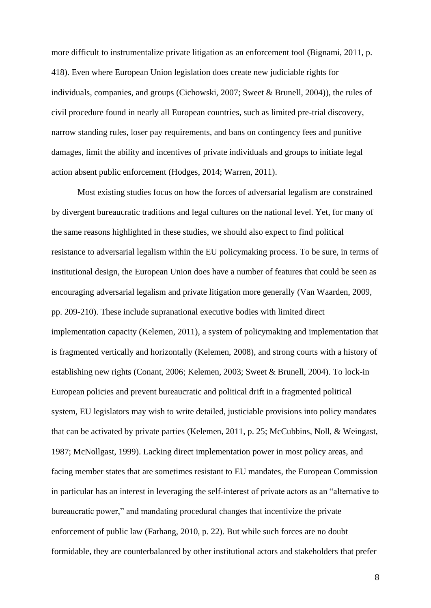more difficult to instrumentalize private litigation as an enforcement tool (Bignami, 2011, p. 418). Even where European Union legislation does create new judiciable rights for individuals, companies, and groups (Cichowski, 2007; Sweet & Brunell, 2004)), the rules of civil procedure found in nearly all European countries, such as limited pre-trial discovery, narrow standing rules, loser pay requirements, and bans on contingency fees and punitive damages, limit the ability and incentives of private individuals and groups to initiate legal action absent public enforcement (Hodges, 2014; Warren, 2011).

Most existing studies focus on how the forces of adversarial legalism are constrained by divergent bureaucratic traditions and legal cultures on the national level. Yet, for many of the same reasons highlighted in these studies, we should also expect to find political resistance to adversarial legalism within the EU policymaking process. To be sure, in terms of institutional design, the European Union does have a number of features that could be seen as encouraging adversarial legalism and private litigation more generally (Van Waarden, 2009, pp. 209-210). These include supranational executive bodies with limited direct implementation capacity (Kelemen, 2011), a system of policymaking and implementation that is fragmented vertically and horizontally (Kelemen, 2008), and strong courts with a history of establishing new rights (Conant, 2006; Kelemen, 2003; Sweet & Brunell, 2004). To lock-in European policies and prevent bureaucratic and political drift in a fragmented political system, EU legislators may wish to write detailed, justiciable provisions into policy mandates that can be activated by private parties (Kelemen, 2011, p. 25; McCubbins, Noll, & Weingast, 1987; McNollgast, 1999). Lacking direct implementation power in most policy areas, and facing member states that are sometimes resistant to EU mandates, the European Commission in particular has an interest in leveraging the self-interest of private actors as an "alternative to bureaucratic power," and mandating procedural changes that incentivize the private enforcement of public law (Farhang, 2010, p. 22). But while such forces are no doubt formidable, they are counterbalanced by other institutional actors and stakeholders that prefer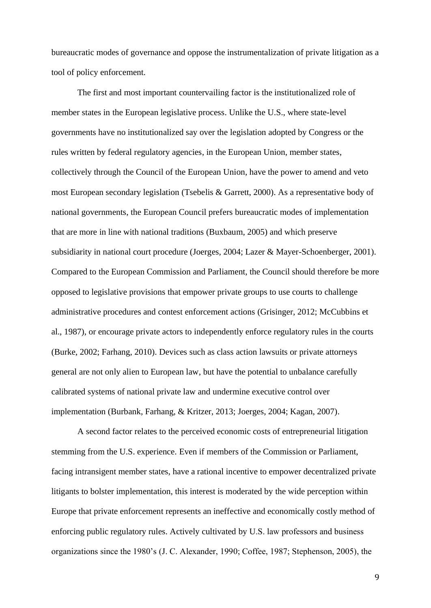bureaucratic modes of governance and oppose the instrumentalization of private litigation as a tool of policy enforcement.

The first and most important countervailing factor is the institutionalized role of member states in the European legislative process. Unlike the U.S., where state-level governments have no institutionalized say over the legislation adopted by Congress or the rules written by federal regulatory agencies, in the European Union, member states, collectively through the Council of the European Union, have the power to amend and veto most European secondary legislation (Tsebelis & Garrett, 2000). As a representative body of national governments, the European Council prefers bureaucratic modes of implementation that are more in line with national traditions (Buxbaum, 2005) and which preserve subsidiarity in national court procedure (Joerges, 2004; Lazer & Mayer-Schoenberger, 2001). Compared to the European Commission and Parliament, the Council should therefore be more opposed to legislative provisions that empower private groups to use courts to challenge administrative procedures and contest enforcement actions (Grisinger, 2012; McCubbins et al., 1987), or encourage private actors to independently enforce regulatory rules in the courts (Burke, 2002; Farhang, 2010). Devices such as class action lawsuits or private attorneys general are not only alien to European law, but have the potential to unbalance carefully calibrated systems of national private law and undermine executive control over implementation (Burbank, Farhang, & Kritzer, 2013; Joerges, 2004; Kagan, 2007).

A second factor relates to the perceived economic costs of entrepreneurial litigation stemming from the U.S. experience. Even if members of the Commission or Parliament, facing intransigent member states, have a rational incentive to empower decentralized private litigants to bolster implementation, this interest is moderated by the wide perception within Europe that private enforcement represents an ineffective and economically costly method of enforcing public regulatory rules. Actively cultivated by U.S. law professors and business organizations since the 1980's (J. C. Alexander, 1990; Coffee, 1987; Stephenson, 2005), the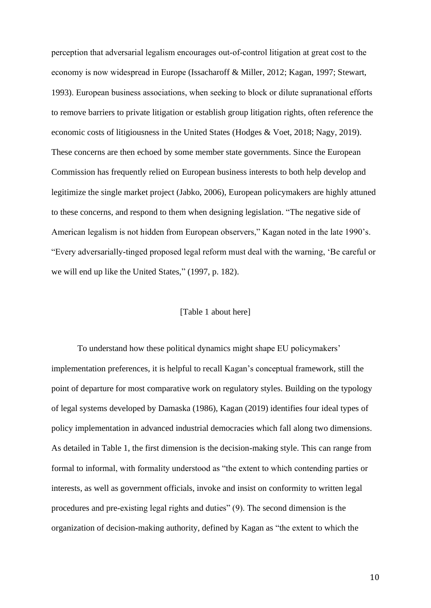perception that adversarial legalism encourages out-of-control litigation at great cost to the economy is now widespread in Europe (Issacharoff & Miller, 2012; Kagan, 1997; Stewart, 1993). European business associations, when seeking to block or dilute supranational efforts to remove barriers to private litigation or establish group litigation rights, often reference the economic costs of litigiousness in the United States (Hodges & Voet, 2018; Nagy, 2019). These concerns are then echoed by some member state governments. Since the European Commission has frequently relied on European business interests to both help develop and legitimize the single market project (Jabko, 2006), European policymakers are highly attuned to these concerns, and respond to them when designing legislation. "The negative side of American legalism is not hidden from European observers," Kagan noted in the late 1990's. "Every adversarially-tinged proposed legal reform must deal with the warning, 'Be careful or we will end up like the United States," (1997, p. 182).

## [Table 1 about here]

To understand how these political dynamics might shape EU policymakers' implementation preferences, it is helpful to recall Kagan's conceptual framework, still the point of departure for most comparative work on regulatory styles. Building on the typology of legal systems developed by Damaska (1986), Kagan (2019) identifies four ideal types of policy implementation in advanced industrial democracies which fall along two dimensions. As detailed in Table 1, the first dimension is the decision-making style. This can range from formal to informal, with formality understood as "the extent to which contending parties or interests, as well as government officials, invoke and insist on conformity to written legal procedures and pre-existing legal rights and duties" (9). The second dimension is the organization of decision-making authority, defined by Kagan as "the extent to which the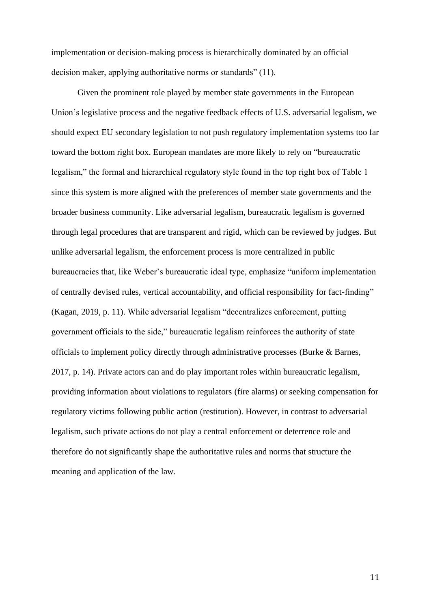implementation or decision-making process is hierarchically dominated by an official decision maker, applying authoritative norms or standards" (11).

Given the prominent role played by member state governments in the European Union's legislative process and the negative feedback effects of U.S. adversarial legalism, we should expect EU secondary legislation to not push regulatory implementation systems too far toward the bottom right box. European mandates are more likely to rely on "bureaucratic legalism," the formal and hierarchical regulatory style found in the top right box of Table 1 since this system is more aligned with the preferences of member state governments and the broader business community. Like adversarial legalism, bureaucratic legalism is governed through legal procedures that are transparent and rigid, which can be reviewed by judges. But unlike adversarial legalism, the enforcement process is more centralized in public bureaucracies that, like Weber's bureaucratic ideal type, emphasize "uniform implementation of centrally devised rules, vertical accountability, and official responsibility for fact-finding" (Kagan, 2019, p. 11). While adversarial legalism "decentralizes enforcement, putting government officials to the side," bureaucratic legalism reinforces the authority of state officials to implement policy directly through administrative processes (Burke & Barnes, 2017, p. 14). Private actors can and do play important roles within bureaucratic legalism, providing information about violations to regulators (fire alarms) or seeking compensation for regulatory victims following public action (restitution). However, in contrast to adversarial legalism, such private actions do not play a central enforcement or deterrence role and therefore do not significantly shape the authoritative rules and norms that structure the meaning and application of the law.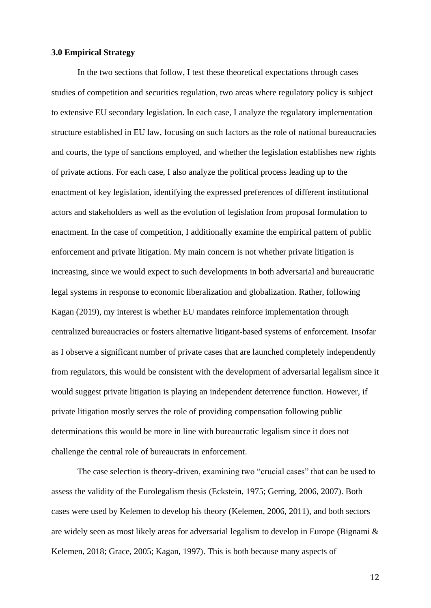## **3.0 Empirical Strategy**

In the two sections that follow, I test these theoretical expectations through cases studies of competition and securities regulation, two areas where regulatory policy is subject to extensive EU secondary legislation. In each case, I analyze the regulatory implementation structure established in EU law, focusing on such factors as the role of national bureaucracies and courts, the type of sanctions employed, and whether the legislation establishes new rights of private actions. For each case, I also analyze the political process leading up to the enactment of key legislation, identifying the expressed preferences of different institutional actors and stakeholders as well as the evolution of legislation from proposal formulation to enactment. In the case of competition, I additionally examine the empirical pattern of public enforcement and private litigation. My main concern is not whether private litigation is increasing, since we would expect to such developments in both adversarial and bureaucratic legal systems in response to economic liberalization and globalization. Rather, following Kagan (2019), my interest is whether EU mandates reinforce implementation through centralized bureaucracies or fosters alternative litigant-based systems of enforcement. Insofar as I observe a significant number of private cases that are launched completely independently from regulators, this would be consistent with the development of adversarial legalism since it would suggest private litigation is playing an independent deterrence function. However, if private litigation mostly serves the role of providing compensation following public determinations this would be more in line with bureaucratic legalism since it does not challenge the central role of bureaucrats in enforcement.

The case selection is theory-driven, examining two "crucial cases" that can be used to assess the validity of the Eurolegalism thesis (Eckstein, 1975; Gerring, 2006, 2007). Both cases were used by Kelemen to develop his theory (Kelemen, 2006, 2011), and both sectors are widely seen as most likely areas for adversarial legalism to develop in Europe (Bignami & Kelemen, 2018; Grace, 2005; Kagan, 1997). This is both because many aspects of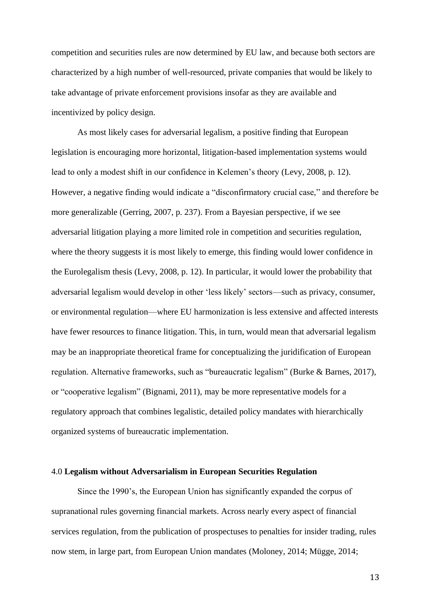competition and securities rules are now determined by EU law, and because both sectors are characterized by a high number of well-resourced, private companies that would be likely to take advantage of private enforcement provisions insofar as they are available and incentivized by policy design.

As most likely cases for adversarial legalism, a positive finding that European legislation is encouraging more horizontal, litigation-based implementation systems would lead to only a modest shift in our confidence in Kelemen's theory (Levy, 2008, p. 12). However, a negative finding would indicate a "disconfirmatory crucial case," and therefore be more generalizable (Gerring, 2007, p. 237). From a Bayesian perspective, if we see adversarial litigation playing a more limited role in competition and securities regulation, where the theory suggests it is most likely to emerge, this finding would lower confidence in the Eurolegalism thesis (Levy, 2008, p. 12). In particular, it would lower the probability that adversarial legalism would develop in other 'less likely' sectors—such as privacy, consumer, or environmental regulation—where EU harmonization is less extensive and affected interests have fewer resources to finance litigation. This, in turn, would mean that adversarial legalism may be an inappropriate theoretical frame for conceptualizing the juridification of European regulation. Alternative frameworks, such as "bureaucratic legalism" (Burke & Barnes, 2017), or "cooperative legalism" (Bignami, 2011), may be more representative models for a regulatory approach that combines legalistic, detailed policy mandates with hierarchically organized systems of bureaucratic implementation.

#### 4.0 **Legalism without Adversarialism in European Securities Regulation**

Since the 1990's, the European Union has significantly expanded the corpus of supranational rules governing financial markets. Across nearly every aspect of financial services regulation, from the publication of prospectuses to penalties for insider trading, rules now stem, in large part, from European Union mandates (Moloney, 2014; Mügge, 2014;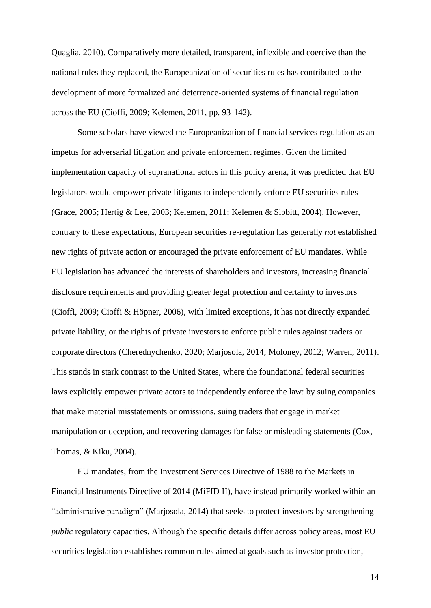Quaglia, 2010). Comparatively more detailed, transparent, inflexible and coercive than the national rules they replaced, the Europeanization of securities rules has contributed to the development of more formalized and deterrence-oriented systems of financial regulation across the EU (Cioffi, 2009; Kelemen, 2011, pp. 93-142).

Some scholars have viewed the Europeanization of financial services regulation as an impetus for adversarial litigation and private enforcement regimes. Given the limited implementation capacity of supranational actors in this policy arena, it was predicted that EU legislators would empower private litigants to independently enforce EU securities rules (Grace, 2005; Hertig & Lee, 2003; Kelemen, 2011; Kelemen & Sibbitt, 2004). However, contrary to these expectations, European securities re-regulation has generally *not* established new rights of private action or encouraged the private enforcement of EU mandates. While EU legislation has advanced the interests of shareholders and investors, increasing financial disclosure requirements and providing greater legal protection and certainty to investors (Cioffi, 2009; Cioffi & Höpner, 2006), with limited exceptions, it has not directly expanded private liability, or the rights of private investors to enforce public rules against traders or corporate directors (Cherednychenko, 2020; Marjosola, 2014; Moloney, 2012; Warren, 2011). This stands in stark contrast to the United States, where the foundational federal securities laws explicitly empower private actors to independently enforce the law: by suing companies that make material misstatements or omissions, suing traders that engage in market manipulation or deception, and recovering damages for false or misleading statements (Cox, Thomas, & Kiku, 2004).

EU mandates, from the Investment Services Directive of 1988 to the Markets in Financial Instruments Directive of 2014 (MiFID II), have instead primarily worked within an "administrative paradigm" (Marjosola, 2014) that seeks to protect investors by strengthening *public* regulatory capacities. Although the specific details differ across policy areas, most EU securities legislation establishes common rules aimed at goals such as investor protection,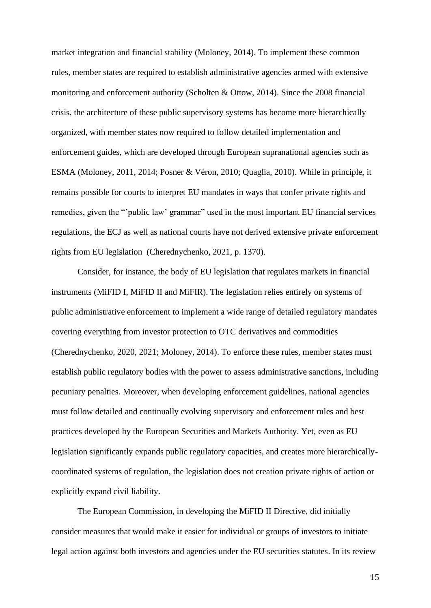market integration and financial stability (Moloney, 2014). To implement these common rules, member states are required to establish administrative agencies armed with extensive monitoring and enforcement authority (Scholten & Ottow, 2014). Since the 2008 financial crisis, the architecture of these public supervisory systems has become more hierarchically organized, with member states now required to follow detailed implementation and enforcement guides, which are developed through European supranational agencies such as ESMA (Moloney, 2011, 2014; Posner & Véron, 2010; Quaglia, 2010). While in principle, it remains possible for courts to interpret EU mandates in ways that confer private rights and remedies, given the "'public law' grammar" used in the most important EU financial services regulations, the ECJ as well as national courts have not derived extensive private enforcement rights from EU legislation (Cherednychenko, 2021, p. 1370).

Consider, for instance, the body of EU legislation that regulates markets in financial instruments (MiFID I, MiFID II and MiFIR). The legislation relies entirely on systems of public administrative enforcement to implement a wide range of detailed regulatory mandates covering everything from investor protection to OTC derivatives and commodities (Cherednychenko, 2020, 2021; Moloney, 2014). To enforce these rules, member states must establish public regulatory bodies with the power to assess administrative sanctions, including pecuniary penalties. Moreover, when developing enforcement guidelines, national agencies must follow detailed and continually evolving supervisory and enforcement rules and best practices developed by the European Securities and Markets Authority. Yet, even as EU legislation significantly expands public regulatory capacities, and creates more hierarchicallycoordinated systems of regulation, the legislation does not creation private rights of action or explicitly expand civil liability.

The European Commission, in developing the MiFID II Directive, did initially consider measures that would make it easier for individual or groups of investors to initiate legal action against both investors and agencies under the EU securities statutes. In its review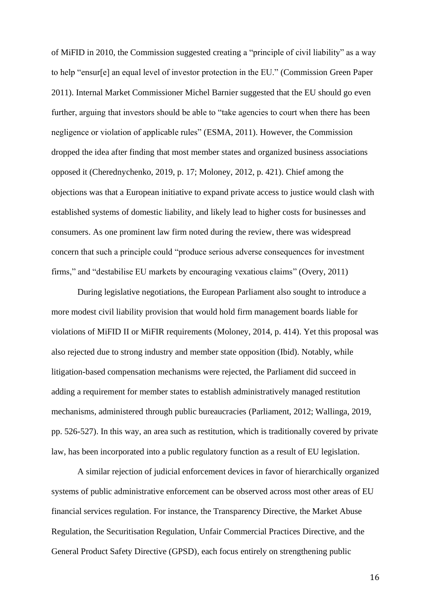of MiFID in 2010, the Commission suggested creating a "principle of civil liability" as a way to help "ensur[e] an equal level of investor protection in the EU." (Commission Green Paper 2011). Internal Market Commissioner Michel Barnier suggested that the EU should go even further, arguing that investors should be able to "take agencies to court when there has been negligence or violation of applicable rules" (ESMA, 2011). However, the Commission dropped the idea after finding that most member states and organized business associations opposed it (Cherednychenko, 2019, p. 17; Moloney, 2012, p. 421). Chief among the objections was that a European initiative to expand private access to justice would clash with established systems of domestic liability, and likely lead to higher costs for businesses and consumers. As one prominent law firm noted during the review, there was widespread concern that such a principle could "produce serious adverse consequences for investment firms," and "destabilise EU markets by encouraging vexatious claims" (Overy, 2011)

During legislative negotiations, the European Parliament also sought to introduce a more modest civil liability provision that would hold firm management boards liable for violations of MiFID II or MiFIR requirements (Moloney, 2014, p. 414). Yet this proposal was also rejected due to strong industry and member state opposition (Ibid). Notably, while litigation-based compensation mechanisms were rejected, the Parliament did succeed in adding a requirement for member states to establish administratively managed restitution mechanisms, administered through public bureaucracies (Parliament, 2012; Wallinga, 2019, pp. 526-527). In this way, an area such as restitution, which is traditionally covered by private law, has been incorporated into a public regulatory function as a result of EU legislation.

A similar rejection of judicial enforcement devices in favor of hierarchically organized systems of public administrative enforcement can be observed across most other areas of EU financial services regulation. For instance, the Transparency Directive, the Market Abuse Regulation, the Securitisation Regulation, Unfair Commercial Practices Directive, and the General Product Safety Directive (GPSD), each focus entirely on strengthening public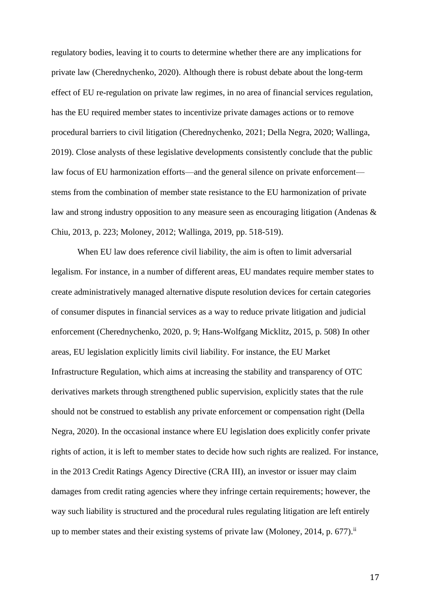regulatory bodies, leaving it to courts to determine whether there are any implications for private law (Cherednychenko, 2020). Although there is robust debate about the long-term effect of EU re-regulation on private law regimes, in no area of financial services regulation, has the EU required member states to incentivize private damages actions or to remove procedural barriers to civil litigation (Cherednychenko, 2021; Della Negra, 2020; Wallinga, 2019). Close analysts of these legislative developments consistently conclude that the public law focus of EU harmonization efforts—and the general silence on private enforcement stems from the combination of member state resistance to the EU harmonization of private law and strong industry opposition to any measure seen as encouraging litigation (Andenas & Chiu, 2013, p. 223; Moloney, 2012; Wallinga, 2019, pp. 518-519).

When EU law does reference civil liability, the aim is often to limit adversarial legalism. For instance, in a number of different areas, EU mandates require member states to create administratively managed alternative dispute resolution devices for certain categories of consumer disputes in financial services as a way to reduce private litigation and judicial enforcement (Cherednychenko, 2020, p. 9; Hans-Wolfgang Micklitz, 2015, p. 508) In other areas, EU legislation explicitly limits civil liability. For instance, the EU Market Infrastructure Regulation, which aims at increasing the stability and transparency of OTC derivatives markets through strengthened public supervision, explicitly states that the rule should not be construed to establish any private enforcement or compensation right (Della Negra, 2020). In the occasional instance where EU legislation does explicitly confer private rights of action, it is left to member states to decide how such rights are realized. For instance, in the 2013 Credit Ratings Agency Directive (CRA III), an investor or issuer may claim damages from credit rating agencies where they infringe certain requirements; however, the way such liability is structured and the procedural rules regulating litigation are left entirely up to member states and their existing systems of private law (Moloney, 2014, p. 677).<sup>ii</sup>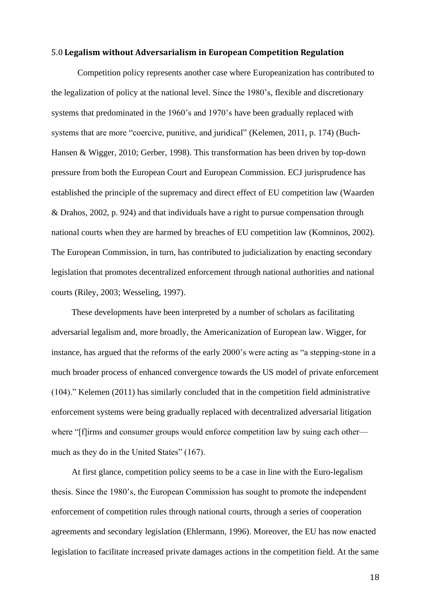#### 5.0 **Legalism without Adversarialism in European Competition Regulation**

Competition policy represents another case where Europeanization has contributed to the legalization of policy at the national level. Since the 1980's, flexible and discretionary systems that predominated in the 1960's and 1970's have been gradually replaced with systems that are more "coercive, punitive, and juridical" (Kelemen, 2011, p. 174) (Buch-Hansen & Wigger, 2010; Gerber, 1998). This transformation has been driven by top-down pressure from both the European Court and European Commission. ECJ jurisprudence has established the principle of the supremacy and direct effect of EU competition law (Waarden & Drahos, 2002, p. 924) and that individuals have a right to pursue compensation through national courts when they are harmed by breaches of EU competition law (Komninos, 2002). The European Commission, in turn, has contributed to judicialization by enacting secondary legislation that promotes decentralized enforcement through national authorities and national courts (Riley, 2003; Wesseling, 1997).

These developments have been interpreted by a number of scholars as facilitating adversarial legalism and, more broadly, the Americanization of European law. Wigger, for instance, has argued that the reforms of the early 2000's were acting as "a stepping-stone in a much broader process of enhanced convergence towards the US model of private enforcement (104)." Kelemen (2011) has similarly concluded that in the competition field administrative enforcement systems were being gradually replaced with decentralized adversarial litigation where "[f]irms and consumer groups would enforce competition law by suing each other much as they do in the United States" (167).

At first glance, competition policy seems to be a case in line with the Euro-legalism thesis. Since the 1980's, the European Commission has sought to promote the independent enforcement of competition rules through national courts, through a series of cooperation agreements and secondary legislation (Ehlermann, 1996). Moreover, the EU has now enacted legislation to facilitate increased private damages actions in the competition field. At the same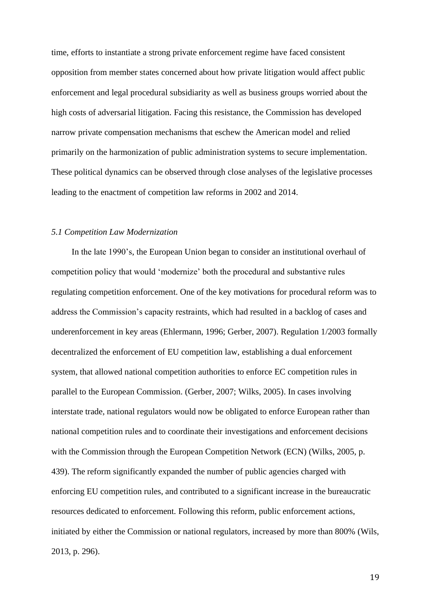time, efforts to instantiate a strong private enforcement regime have faced consistent opposition from member states concerned about how private litigation would affect public enforcement and legal procedural subsidiarity as well as business groups worried about the high costs of adversarial litigation. Facing this resistance, the Commission has developed narrow private compensation mechanisms that eschew the American model and relied primarily on the harmonization of public administration systems to secure implementation. These political dynamics can be observed through close analyses of the legislative processes leading to the enactment of competition law reforms in 2002 and 2014.

## *5.1 Competition Law Modernization*

In the late 1990's, the European Union began to consider an institutional overhaul of competition policy that would 'modernize' both the procedural and substantive rules regulating competition enforcement. One of the key motivations for procedural reform was to address the Commission's capacity restraints, which had resulted in a backlog of cases and underenforcement in key areas (Ehlermann, 1996; Gerber, 2007). Regulation 1/2003 formally decentralized the enforcement of EU competition law, establishing a dual enforcement system, that allowed national competition authorities to enforce EC competition rules in parallel to the European Commission. (Gerber, 2007; Wilks, 2005). In cases involving interstate trade, national regulators would now be obligated to enforce European rather than national competition rules and to coordinate their investigations and enforcement decisions with the Commission through the European Competition Network (ECN) (Wilks, 2005, p. 439). The reform significantly expanded the number of public agencies charged with enforcing EU competition rules, and contributed to a significant increase in the bureaucratic resources dedicated to enforcement. Following this reform, public enforcement actions, initiated by either the Commission or national regulators, increased by more than 800% (Wils, 2013, p. 296).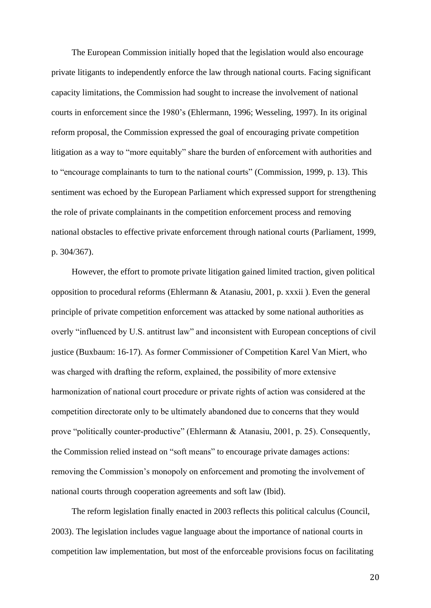The European Commission initially hoped that the legislation would also encourage private litigants to independently enforce the law through national courts. Facing significant capacity limitations, the Commission had sought to increase the involvement of national courts in enforcement since the 1980's (Ehlermann, 1996; Wesseling, 1997). In its original reform proposal, the Commission expressed the goal of encouraging private competition litigation as a way to "more equitably" share the burden of enforcement with authorities and to "encourage complainants to turn to the national courts" (Commission, 1999, p. 13). This sentiment was echoed by the European Parliament which expressed support for strengthening the role of private complainants in the competition enforcement process and removing national obstacles to effective private enforcement through national courts (Parliament, 1999, p. 304/367).

However, the effort to promote private litigation gained limited traction, given political opposition to procedural reforms (Ehlermann & Atanasiu, 2001, p. xxxii ). Even the general principle of private competition enforcement was attacked by some national authorities as overly "influenced by U.S. antitrust law" and inconsistent with European conceptions of civil justice (Buxbaum: 16-17). As former Commissioner of Competition Karel Van Miert, who was charged with drafting the reform, explained, the possibility of more extensive harmonization of national court procedure or private rights of action was considered at the competition directorate only to be ultimately abandoned due to concerns that they would prove "politically counter-productive" (Ehlermann & Atanasiu, 2001, p. 25). Consequently, the Commission relied instead on "soft means" to encourage private damages actions: removing the Commission's monopoly on enforcement and promoting the involvement of national courts through cooperation agreements and soft law (Ibid).

The reform legislation finally enacted in 2003 reflects this political calculus (Council, 2003). The legislation includes vague language about the importance of national courts in competition law implementation, but most of the enforceable provisions focus on facilitating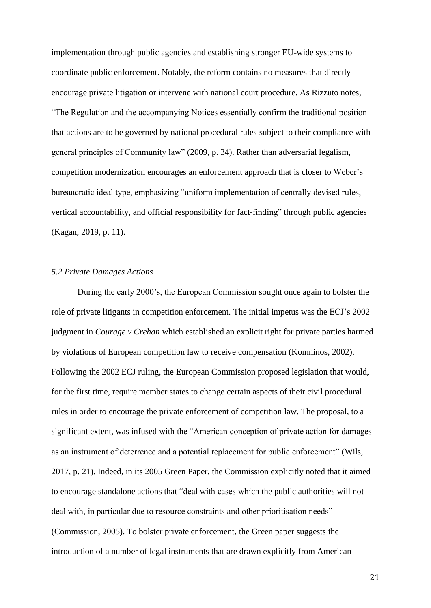implementation through public agencies and establishing stronger EU-wide systems to coordinate public enforcement. Notably, the reform contains no measures that directly encourage private litigation or intervene with national court procedure. As Rizzuto notes, "The Regulation and the accompanying Notices essentially confirm the traditional position that actions are to be governed by national procedural rules subject to their compliance with general principles of Community law" (2009, p. 34). Rather than adversarial legalism, competition modernization encourages an enforcement approach that is closer to Weber's bureaucratic ideal type, emphasizing "uniform implementation of centrally devised rules, vertical accountability, and official responsibility for fact-finding" through public agencies (Kagan, 2019, p. 11).

#### *5.2 Private Damages Actions*

During the early 2000's, the European Commission sought once again to bolster the role of private litigants in competition enforcement. The initial impetus was the ECJ's 2002 judgment in *Courage v Crehan* which established an explicit right for private parties harmed by violations of European competition law to receive compensation (Komninos, 2002). Following the 2002 ECJ ruling, the European Commission proposed legislation that would, for the first time, require member states to change certain aspects of their civil procedural rules in order to encourage the private enforcement of competition law. The proposal, to a significant extent, was infused with the "American conception of private action for damages as an instrument of deterrence and a potential replacement for public enforcement" (Wils, 2017, p. 21). Indeed, in its 2005 Green Paper, the Commission explicitly noted that it aimed to encourage standalone actions that "deal with cases which the public authorities will not deal with, in particular due to resource constraints and other prioritisation needs" (Commission, 2005). To bolster private enforcement, the Green paper suggests the introduction of a number of legal instruments that are drawn explicitly from American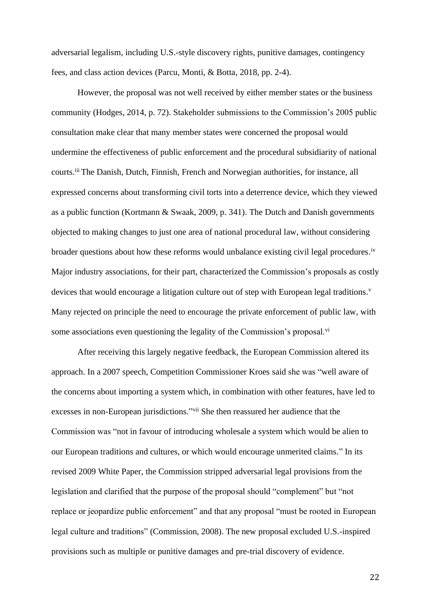adversarial legalism, including U.S.-style discovery rights, punitive damages, contingency fees, and class action devices (Parcu, Monti, & Botta, 2018, pp. 2-4).

However, the proposal was not well received by either member states or the business community (Hodges, 2014, p. 72). Stakeholder submissions to the Commission's 2005 public consultation make clear that many member states were concerned the proposal would undermine the effectiveness of public enforcement and the procedural subsidiarity of national courts.<sup>iii</sup> The Danish, Dutch, Finnish, French and Norwegian authorities, for instance, all expressed concerns about transforming civil torts into a deterrence device, which they viewed as a public function (Kortmann & Swaak, 2009, p. 341). The Dutch and Danish governments objected to making changes to just one area of national procedural law, without considering broader questions about how these reforms would unbalance existing civil legal procedures.<sup>iv</sup> Major industry associations, for their part, characterized the Commission's proposals as costly devices that would encourage a litigation culture out of step with European legal traditions.<sup>v</sup> Many rejected on principle the need to encourage the private enforcement of public law, with some associations even questioning the legality of the Commission's proposal.<sup>vi</sup>

After receiving this largely negative feedback, the European Commission altered its approach. In a 2007 speech, Competition Commissioner Kroes said she was "well aware of the concerns about importing a system which, in combination with other features, have led to excesses in non-European jurisdictions."<sup>vii</sup> She then reassured her audience that the Commission was "not in favour of introducing wholesale a system which would be alien to our European traditions and cultures, or which would encourage unmerited claims." In its revised 2009 White Paper, the Commission stripped adversarial legal provisions from the legislation and clarified that the purpose of the proposal should "complement" but "not replace or jeopardize public enforcement" and that any proposal "must be rooted in European legal culture and traditions" (Commission, 2008). The new proposal excluded U.S.-inspired provisions such as multiple or punitive damages and pre-trial discovery of evidence.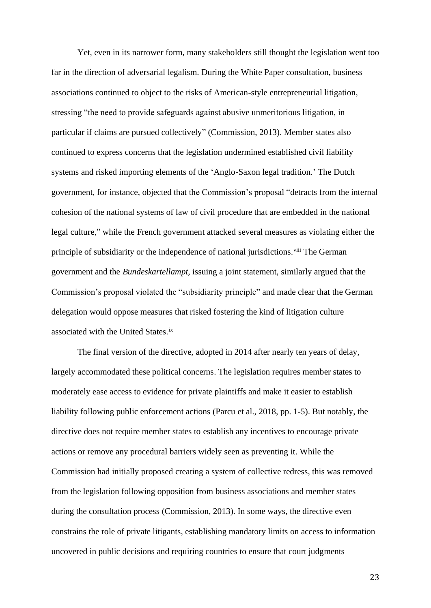Yet, even in its narrower form, many stakeholders still thought the legislation went too far in the direction of adversarial legalism. During the White Paper consultation, business associations continued to object to the risks of American-style entrepreneurial litigation, stressing "the need to provide safeguards against abusive unmeritorious litigation, in particular if claims are pursued collectively" (Commission, 2013). Member states also continued to express concerns that the legislation undermined established civil liability systems and risked importing elements of the 'Anglo-Saxon legal tradition.' The Dutch government, for instance, objected that the Commission's proposal "detracts from the internal cohesion of the national systems of law of civil procedure that are embedded in the national legal culture," while the French government attacked several measures as violating either the principle of subsidiarity or the independence of national jurisdictions.<sup>viii</sup> The German government and the *Bundeskartellampt*, issuing a joint statement, similarly argued that the Commission's proposal violated the "subsidiarity principle" and made clear that the German delegation would oppose measures that risked fostering the kind of litigation culture associated with the United States.ix

The final version of the directive, adopted in 2014 after nearly ten years of delay, largely accommodated these political concerns. The legislation requires member states to moderately ease access to evidence for private plaintiffs and make it easier to establish liability following public enforcement actions (Parcu et al., 2018, pp. 1-5). But notably, the directive does not require member states to establish any incentives to encourage private actions or remove any procedural barriers widely seen as preventing it. While the Commission had initially proposed creating a system of collective redress, this was removed from the legislation following opposition from business associations and member states during the consultation process (Commission, 2013). In some ways, the directive even constrains the role of private litigants, establishing mandatory limits on access to information uncovered in public decisions and requiring countries to ensure that court judgments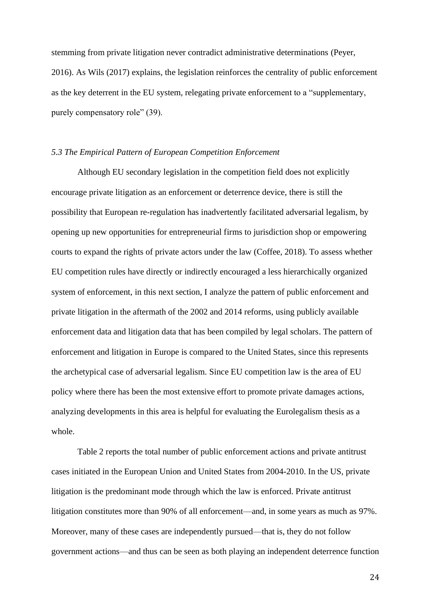stemming from private litigation never contradict administrative determinations (Peyer, 2016). As Wils (2017) explains, the legislation reinforces the centrality of public enforcement as the key deterrent in the EU system, relegating private enforcement to a "supplementary, purely compensatory role" (39).

## *5.3 The Empirical Pattern of European Competition Enforcement*

Although EU secondary legislation in the competition field does not explicitly encourage private litigation as an enforcement or deterrence device, there is still the possibility that European re-regulation has inadvertently facilitated adversarial legalism, by opening up new opportunities for entrepreneurial firms to jurisdiction shop or empowering courts to expand the rights of private actors under the law (Coffee, 2018). To assess whether EU competition rules have directly or indirectly encouraged a less hierarchically organized system of enforcement, in this next section, I analyze the pattern of public enforcement and private litigation in the aftermath of the 2002 and 2014 reforms, using publicly available enforcement data and litigation data that has been compiled by legal scholars. The pattern of enforcement and litigation in Europe is compared to the United States, since this represents the archetypical case of adversarial legalism. Since EU competition law is the area of EU policy where there has been the most extensive effort to promote private damages actions, analyzing developments in this area is helpful for evaluating the Eurolegalism thesis as a whole.

Table 2 reports the total number of public enforcement actions and private antitrust cases initiated in the European Union and United States from 2004-2010. In the US, private litigation is the predominant mode through which the law is enforced. Private antitrust litigation constitutes more than 90% of all enforcement—and, in some years as much as 97%. Moreover, many of these cases are independently pursued—that is, they do not follow government actions—and thus can be seen as both playing an independent deterrence function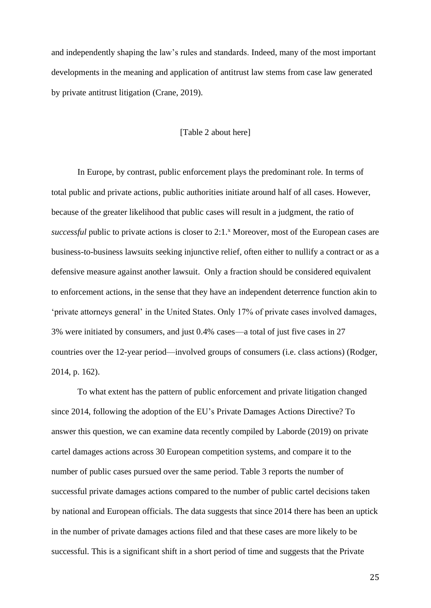and independently shaping the law's rules and standards. Indeed, many of the most important developments in the meaning and application of antitrust law stems from case law generated by private antitrust litigation (Crane, 2019).

#### [Table 2 about here]

In Europe, by contrast, public enforcement plays the predominant role. In terms of total public and private actions, public authorities initiate around half of all cases. However, because of the greater likelihood that public cases will result in a judgment, the ratio of *successful* public to private actions is closer to 2:1.<sup>x</sup> Moreover, most of the European cases are business-to-business lawsuits seeking injunctive relief, often either to nullify a contract or as a defensive measure against another lawsuit. Only a fraction should be considered equivalent to enforcement actions, in the sense that they have an independent deterrence function akin to 'private attorneys general' in the United States. Only 17% of private cases involved damages, 3% were initiated by consumers, and just 0.4% cases—a total of just five cases in 27 countries over the 12-year period—involved groups of consumers (i.e. class actions) (Rodger, 2014, p. 162).

To what extent has the pattern of public enforcement and private litigation changed since 2014, following the adoption of the EU's Private Damages Actions Directive? To answer this question, we can examine data recently compiled by Laborde (2019) on private cartel damages actions across 30 European competition systems, and compare it to the number of public cases pursued over the same period. Table 3 reports the number of successful private damages actions compared to the number of public cartel decisions taken by national and European officials. The data suggests that since 2014 there has been an uptick in the number of private damages actions filed and that these cases are more likely to be successful. This is a significant shift in a short period of time and suggests that the Private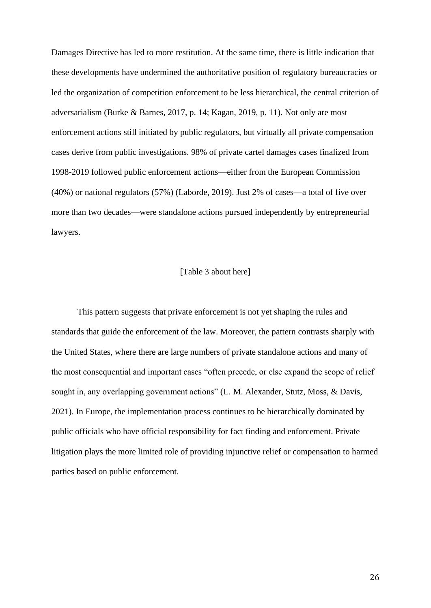Damages Directive has led to more restitution. At the same time, there is little indication that these developments have undermined the authoritative position of regulatory bureaucracies or led the organization of competition enforcement to be less hierarchical, the central criterion of adversarialism (Burke & Barnes, 2017, p. 14; Kagan, 2019, p. 11). Not only are most enforcement actions still initiated by public regulators, but virtually all private compensation cases derive from public investigations. 98% of private cartel damages cases finalized from 1998-2019 followed public enforcement actions—either from the European Commission (40%) or national regulators (57%) (Laborde, 2019). Just 2% of cases—a total of five over more than two decades—were standalone actions pursued independently by entrepreneurial lawyers.

## [Table 3 about here]

This pattern suggests that private enforcement is not yet shaping the rules and standards that guide the enforcement of the law. Moreover, the pattern contrasts sharply with the United States, where there are large numbers of private standalone actions and many of the most consequential and important cases "often precede, or else expand the scope of relief sought in, any overlapping government actions" (L. M. Alexander, Stutz, Moss, & Davis, 2021). In Europe, the implementation process continues to be hierarchically dominated by public officials who have official responsibility for fact finding and enforcement. Private litigation plays the more limited role of providing injunctive relief or compensation to harmed parties based on public enforcement.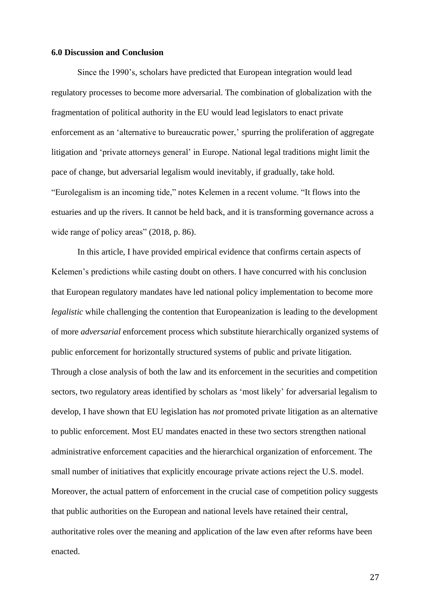### **6.0 Discussion and Conclusion**

Since the 1990's, scholars have predicted that European integration would lead regulatory processes to become more adversarial. The combination of globalization with the fragmentation of political authority in the EU would lead legislators to enact private enforcement as an 'alternative to bureaucratic power,' spurring the proliferation of aggregate litigation and 'private attorneys general' in Europe. National legal traditions might limit the pace of change, but adversarial legalism would inevitably, if gradually, take hold. "Eurolegalism is an incoming tide," notes Kelemen in a recent volume. "It flows into the estuaries and up the rivers. It cannot be held back, and it is transforming governance across a wide range of policy areas" (2018, p. 86).

In this article, I have provided empirical evidence that confirms certain aspects of Kelemen's predictions while casting doubt on others. I have concurred with his conclusion that European regulatory mandates have led national policy implementation to become more *legalistic* while challenging the contention that Europeanization is leading to the development of more *adversarial* enforcement process which substitute hierarchically organized systems of public enforcement for horizontally structured systems of public and private litigation. Through a close analysis of both the law and its enforcement in the securities and competition sectors, two regulatory areas identified by scholars as 'most likely' for adversarial legalism to develop, I have shown that EU legislation has *not* promoted private litigation as an alternative to public enforcement. Most EU mandates enacted in these two sectors strengthen national administrative enforcement capacities and the hierarchical organization of enforcement. The small number of initiatives that explicitly encourage private actions reject the U.S. model. Moreover, the actual pattern of enforcement in the crucial case of competition policy suggests that public authorities on the European and national levels have retained their central, authoritative roles over the meaning and application of the law even after reforms have been enacted.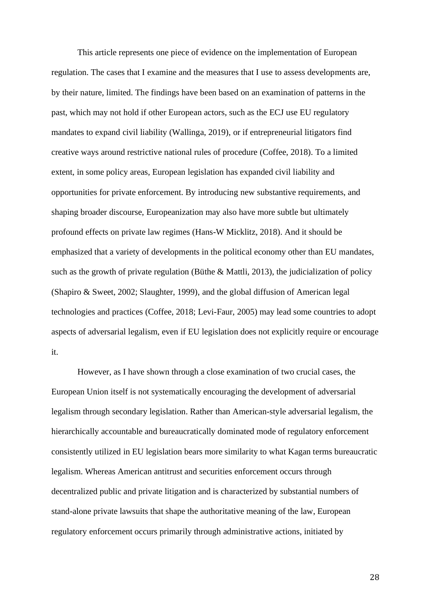This article represents one piece of evidence on the implementation of European regulation. The cases that I examine and the measures that I use to assess developments are, by their nature, limited. The findings have been based on an examination of patterns in the past, which may not hold if other European actors, such as the ECJ use EU regulatory mandates to expand civil liability (Wallinga, 2019), or if entrepreneurial litigators find creative ways around restrictive national rules of procedure (Coffee, 2018). To a limited extent, in some policy areas, European legislation has expanded civil liability and opportunities for private enforcement. By introducing new substantive requirements, and shaping broader discourse, Europeanization may also have more subtle but ultimately profound effects on private law regimes (Hans-W Micklitz, 2018). And it should be emphasized that a variety of developments in the political economy other than EU mandates, such as the growth of private regulation (Büthe & Mattli, 2013), the judicialization of policy (Shapiro & Sweet, 2002; Slaughter, 1999), and the global diffusion of American legal technologies and practices (Coffee, 2018; Levi-Faur, 2005) may lead some countries to adopt aspects of adversarial legalism, even if EU legislation does not explicitly require or encourage it.

However, as I have shown through a close examination of two crucial cases, the European Union itself is not systematically encouraging the development of adversarial legalism through secondary legislation. Rather than American-style adversarial legalism, the hierarchically accountable and bureaucratically dominated mode of regulatory enforcement consistently utilized in EU legislation bears more similarity to what Kagan terms bureaucratic legalism. Whereas American antitrust and securities enforcement occurs through decentralized public and private litigation and is characterized by substantial numbers of stand-alone private lawsuits that shape the authoritative meaning of the law, European regulatory enforcement occurs primarily through administrative actions, initiated by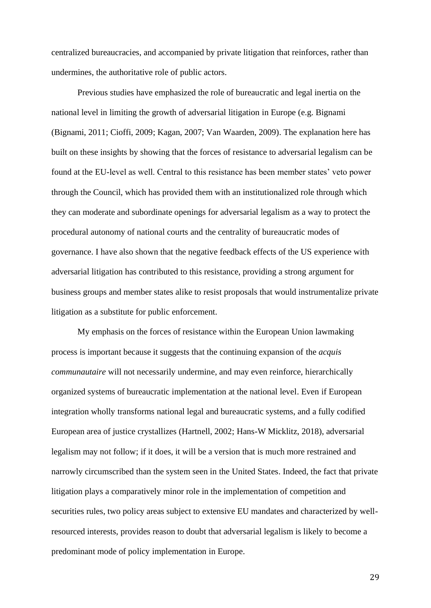centralized bureaucracies, and accompanied by private litigation that reinforces, rather than undermines, the authoritative role of public actors.

Previous studies have emphasized the role of bureaucratic and legal inertia on the national level in limiting the growth of adversarial litigation in Europe (e.g. Bignami (Bignami, 2011; Cioffi, 2009; Kagan, 2007; Van Waarden, 2009). The explanation here has built on these insights by showing that the forces of resistance to adversarial legalism can be found at the EU-level as well. Central to this resistance has been member states' veto power through the Council, which has provided them with an institutionalized role through which they can moderate and subordinate openings for adversarial legalism as a way to protect the procedural autonomy of national courts and the centrality of bureaucratic modes of governance. I have also shown that the negative feedback effects of the US experience with adversarial litigation has contributed to this resistance, providing a strong argument for business groups and member states alike to resist proposals that would instrumentalize private litigation as a substitute for public enforcement.

My emphasis on the forces of resistance within the European Union lawmaking process is important because it suggests that the continuing expansion of the *acquis communautaire* will not necessarily undermine, and may even reinforce, hierarchically organized systems of bureaucratic implementation at the national level. Even if European integration wholly transforms national legal and bureaucratic systems, and a fully codified European area of justice crystallizes (Hartnell, 2002; Hans-W Micklitz, 2018), adversarial legalism may not follow; if it does, it will be a version that is much more restrained and narrowly circumscribed than the system seen in the United States. Indeed, the fact that private litigation plays a comparatively minor role in the implementation of competition and securities rules, two policy areas subject to extensive EU mandates and characterized by wellresourced interests, provides reason to doubt that adversarial legalism is likely to become a predominant mode of policy implementation in Europe.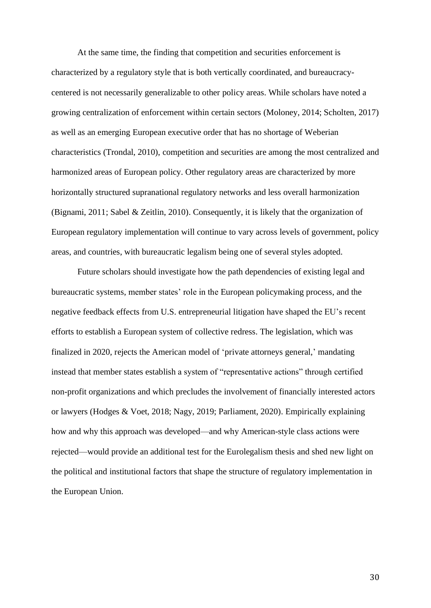At the same time, the finding that competition and securities enforcement is characterized by a regulatory style that is both vertically coordinated, and bureaucracycentered is not necessarily generalizable to other policy areas. While scholars have noted a growing centralization of enforcement within certain sectors (Moloney, 2014; Scholten, 2017) as well as an emerging European executive order that has no shortage of Weberian characteristics (Trondal, 2010), competition and securities are among the most centralized and harmonized areas of European policy. Other regulatory areas are characterized by more horizontally structured supranational regulatory networks and less overall harmonization (Bignami, 2011; Sabel & Zeitlin, 2010). Consequently, it is likely that the organization of European regulatory implementation will continue to vary across levels of government, policy areas, and countries, with bureaucratic legalism being one of several styles adopted.

Future scholars should investigate how the path dependencies of existing legal and bureaucratic systems, member states' role in the European policymaking process, and the negative feedback effects from U.S. entrepreneurial litigation have shaped the EU's recent efforts to establish a European system of collective redress. The legislation, which was finalized in 2020, rejects the American model of 'private attorneys general,' mandating instead that member states establish a system of "representative actions" through certified non-profit organizations and which precludes the involvement of financially interested actors or lawyers (Hodges & Voet, 2018; Nagy, 2019; Parliament, 2020). Empirically explaining how and why this approach was developed—and why American-style class actions were rejected—would provide an additional test for the Eurolegalism thesis and shed new light on the political and institutional factors that shape the structure of regulatory implementation in the European Union.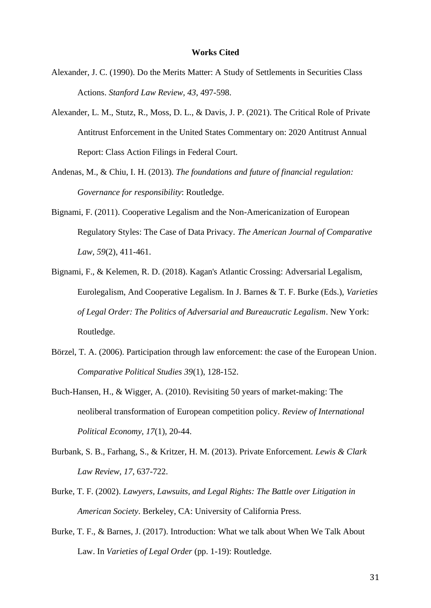- Alexander, J. C. (1990). Do the Merits Matter: A Study of Settlements in Securities Class Actions. *Stanford Law Review, 43*, 497-598.
- Alexander, L. M., Stutz, R., Moss, D. L., & Davis, J. P. (2021). The Critical Role of Private Antitrust Enforcement in the United States Commentary on: 2020 Antitrust Annual Report: Class Action Filings in Federal Court.
- Andenas, M., & Chiu, I. H. (2013). *The foundations and future of financial regulation: Governance for responsibility*: Routledge.
- Bignami, F. (2011). Cooperative Legalism and the Non-Americanization of European Regulatory Styles: The Case of Data Privacy. *The American Journal of Comparative Law, 59*(2), 411-461.
- Bignami, F., & Kelemen, R. D. (2018). Kagan's Atlantic Crossing: Adversarial Legalism, Eurolegalism, And Cooperative Legalism. In J. Barnes & T. F. Burke (Eds.), *Varieties of Legal Order: The Politics of Adversarial and Bureaucratic Legalism*. New York: Routledge.
- Börzel, T. A. (2006). Participation through law enforcement: the case of the European Union. *Comparative Political Studies 39*(1), 128-152.
- Buch-Hansen, H., & Wigger, A. (2010). Revisiting 50 years of market-making: The neoliberal transformation of European competition policy. *Review of International Political Economy, 17*(1), 20-44.
- Burbank, S. B., Farhang, S., & Kritzer, H. M. (2013). Private Enforcement. *Lewis & Clark Law Review, 17*, 637-722.
- Burke, T. F. (2002). *Lawyers, Lawsuits, and Legal Rights: The Battle over Litigation in American Society*. Berkeley, CA: University of California Press.
- Burke, T. F., & Barnes, J. (2017). Introduction: What we talk about When We Talk About Law. In *Varieties of Legal Order* (pp. 1-19): Routledge.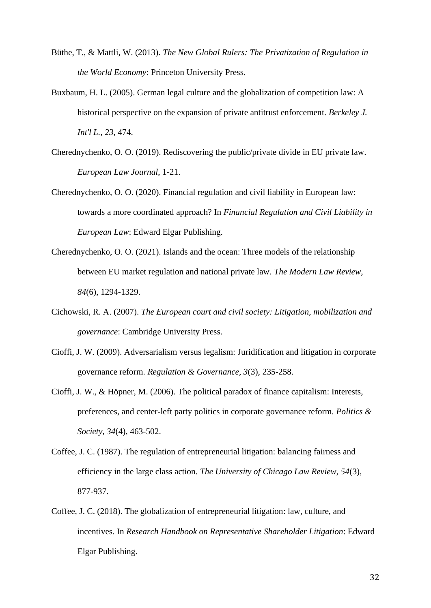- Büthe, T., & Mattli, W. (2013). *The New Global Rulers: The Privatization of Regulation in the World Economy*: Princeton University Press.
- Buxbaum, H. L. (2005). German legal culture and the globalization of competition law: A historical perspective on the expansion of private antitrust enforcement. *Berkeley J. Int'l L., 23*, 474.
- Cherednychenko, O. O. (2019). Rediscovering the public/private divide in EU private law. *European Law Journal*, 1-21.
- Cherednychenko, O. O. (2020). Financial regulation and civil liability in European law: towards a more coordinated approach? In *Financial Regulation and Civil Liability in European Law*: Edward Elgar Publishing.
- Cherednychenko, O. O. (2021). Islands and the ocean: Three models of the relationship between EU market regulation and national private law. *The Modern Law Review, 84*(6), 1294-1329.
- Cichowski, R. A. (2007). *The European court and civil society: Litigation, mobilization and governance*: Cambridge University Press.
- Cioffi, J. W. (2009). Adversarialism versus legalism: Juridification and litigation in corporate governance reform. *Regulation & Governance, 3*(3), 235-258.
- Cioffi, J. W., & Höpner, M. (2006). The political paradox of finance capitalism: Interests, preferences, and center-left party politics in corporate governance reform. *Politics & Society, 34*(4), 463-502.
- Coffee, J. C. (1987). The regulation of entrepreneurial litigation: balancing fairness and efficiency in the large class action. *The University of Chicago Law Review, 54*(3), 877-937.
- Coffee, J. C. (2018). The globalization of entrepreneurial litigation: law, culture, and incentives. In *Research Handbook on Representative Shareholder Litigation*: Edward Elgar Publishing.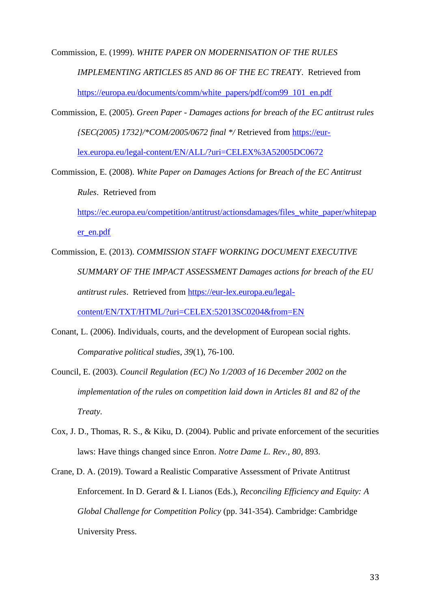Commission, E. (1999). *WHITE PAPER ON MODERNISATION OF THE RULES IMPLEMENTING ARTICLES 85 AND 86 OF THE EC TREATY*. Retrieved from [https://europa.eu/documents/comm/white\\_papers/pdf/com99\\_101\\_en.pdf](https://europa.eu/documents/comm/white_papers/pdf/com99_101_en.pdf)

Commission, E. (2005). *Green Paper - Damages actions for breach of the EC antitrust rules {SEC(2005) 1732}/\*COM/2005/0672 final \*/* Retrieved from [https://eur](https://eur-lex.europa.eu/legal-content/EN/ALL/?uri=CELEX%3A52005DC0672)[lex.europa.eu/legal-content/EN/ALL/?uri=CELEX%3A52005DC0672](https://eur-lex.europa.eu/legal-content/EN/ALL/?uri=CELEX%3A52005DC0672)

Commission, E. (2008). *White Paper on Damages Actions for Breach of the EC Antitrust Rules*. Retrieved from [https://ec.europa.eu/competition/antitrust/actionsdamages/files\\_white\\_paper/whitepap](https://ec.europa.eu/competition/antitrust/actionsdamages/files_white_paper/whitepaper_en.pdf) [er\\_en.pdf](https://ec.europa.eu/competition/antitrust/actionsdamages/files_white_paper/whitepaper_en.pdf)

Commission, E. (2013). *COMMISSION STAFF WORKING DOCUMENT EXECUTIVE SUMMARY OF THE IMPACT ASSESSMENT Damages actions for breach of the EU antitrust rules*. Retrieved from [https://eur-lex.europa.eu/legal](https://eur-lex.europa.eu/legal-content/EN/TXT/HTML/?uri=CELEX:52013SC0204&from=EN)[content/EN/TXT/HTML/?uri=CELEX:52013SC0204&from=EN](https://eur-lex.europa.eu/legal-content/EN/TXT/HTML/?uri=CELEX:52013SC0204&from=EN)

Conant, L. (2006). Individuals, courts, and the development of European social rights. *Comparative political studies, 39*(1), 76-100.

Council, E. (2003). *Council Regulation (EC) No 1/2003 of 16 December 2002 on the implementation of the rules on competition laid down in Articles 81 and 82 of the Treaty*.

Cox, J. D., Thomas, R. S., & Kiku, D. (2004). Public and private enforcement of the securities laws: Have things changed since Enron. *Notre Dame L. Rev., 80*, 893.

Crane, D. A. (2019). Toward a Realistic Comparative Assessment of Private Antitrust Enforcement. In D. Gerard & I. Lianos (Eds.), *Reconciling Efficiency and Equity: A Global Challenge for Competition Policy* (pp. 341-354). Cambridge: Cambridge University Press.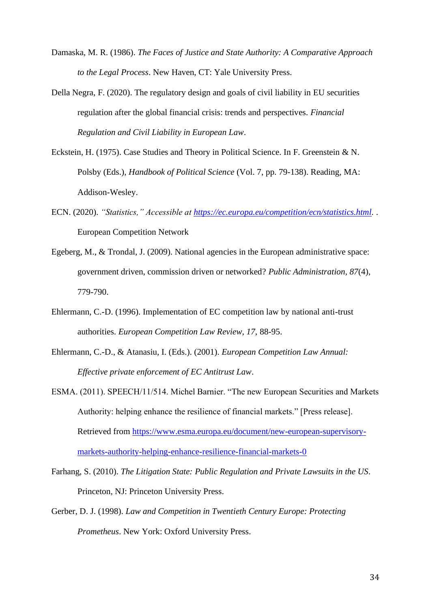- Damaska, M. R. (1986). *The Faces of Justice and State Authority: A Comparative Approach to the Legal Process*. New Haven, CT: Yale University Press.
- Della Negra, F. (2020). The regulatory design and goals of civil liability in EU securities regulation after the global financial crisis: trends and perspectives. *Financial Regulation and Civil Liability in European Law*.
- Eckstein, H. (1975). Case Studies and Theory in Political Science. In F. Greenstein & N. Polsby (Eds.), *Handbook of Political Science* (Vol. 7, pp. 79-138). Reading, MA: Addison-Wesley.
- ECN. (2020). *"Statistics," Accessible at [https://ec.europa.eu/competition/ecn/statistics.html.](https://ec.europa.eu/competition/ecn/statistics.html)* . European Competition Network
- Egeberg, M., & Trondal, J. (2009). National agencies in the European administrative space: government driven, commission driven or networked? *Public Administration, 87*(4), 779-790.
- Ehlermann, C.-D. (1996). Implementation of EC competition law by national anti-trust authorities. *European Competition Law Review, 17*, 88-95.
- Ehlermann, C.-D., & Atanasiu, I. (Eds.). (2001). *European Competition Law Annual: Effective private enforcement of EC Antitrust Law*.
- ESMA. (2011). SPEECH/11/514. Michel Barnier. "The new European Securities and Markets Authority: helping enhance the resilience of financial markets." [Press release]. Retrieved from [https://www.esma.europa.eu/document/new-european-supervisory](https://www.esma.europa.eu/document/new-european-supervisory-markets-authority-helping-enhance-resilience-financial-markets-0)[markets-authority-helping-enhance-resilience-financial-markets-0](https://www.esma.europa.eu/document/new-european-supervisory-markets-authority-helping-enhance-resilience-financial-markets-0)
- Farhang, S. (2010). *The Litigation State: Public Regulation and Private Lawsuits in the US*. Princeton, NJ: Princeton University Press.
- Gerber, D. J. (1998). *Law and Competition in Twentieth Century Europe: Protecting Prometheus*. New York: Oxford University Press.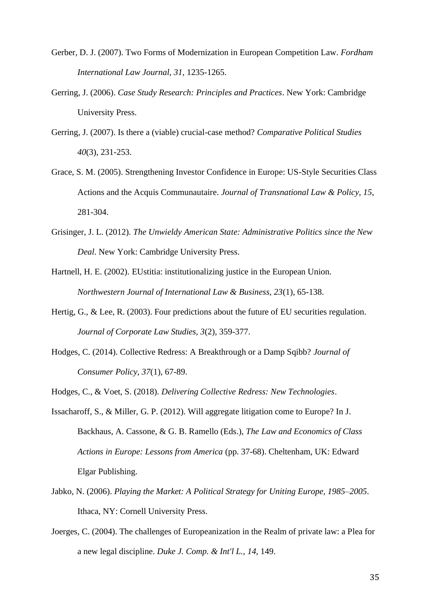- Gerber, D. J. (2007). Two Forms of Modernization in European Competition Law. *Fordham International Law Journal, 31*, 1235-1265.
- Gerring, J. (2006). *Case Study Research: Principles and Practices*. New York: Cambridge University Press.
- Gerring, J. (2007). Is there a (viable) crucial-case method? *Comparative Political Studies 40*(3), 231-253.
- Grace, S. M. (2005). Strengthening Investor Confidence in Europe: US-Style Securities Class Actions and the Acquis Communautaire. *Journal of Transnational Law & Policy, 15*, 281-304.
- Grisinger, J. L. (2012). *The Unwieldy American State: Administrative Politics since the New Deal*. New York: Cambridge University Press.
- Hartnell, H. E. (2002). EUstitia: institutionalizing justice in the European Union. *Northwestern Journal of International Law & Business, 23*(1), 65-138.
- Hertig, G., & Lee, R. (2003). Four predictions about the future of EU securities regulation. *Journal of Corporate Law Studies, 3*(2), 359-377.
- Hodges, C. (2014). Collective Redress: A Breakthrough or a Damp Sqibb? *Journal of Consumer Policy, 37*(1), 67-89.
- Hodges, C., & Voet, S. (2018). *Delivering Collective Redress: New Technologies*.
- Issacharoff, S., & Miller, G. P. (2012). Will aggregate litigation come to Europe? In J. Backhaus, A. Cassone, & G. B. Ramello (Eds.), *The Law and Economics of Class Actions in Europe: Lessons from America* (pp. 37-68). Cheltenham, UK: Edward Elgar Publishing.
- Jabko, N. (2006). *Playing the Market: A Political Strategy for Uniting Europe, 1985–2005*. Ithaca, NY: Cornell University Press.
- Joerges, C. (2004). The challenges of Europeanization in the Realm of private law: a Plea for a new legal discipline. *Duke J. Comp. & Int'l L., 14*, 149.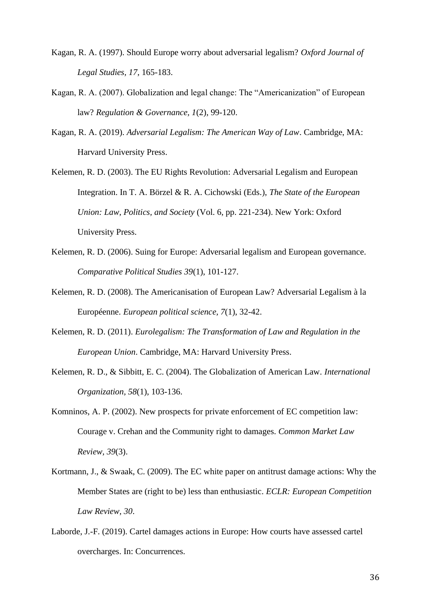- Kagan, R. A. (1997). Should Europe worry about adversarial legalism? *Oxford Journal of Legal Studies, 17*, 165-183.
- Kagan, R. A. (2007). Globalization and legal change: The "Americanization" of European law? *Regulation & Governance, 1*(2), 99-120.
- Kagan, R. A. (2019). *Adversarial Legalism: The American Way of Law*. Cambridge, MA: Harvard University Press.
- Kelemen, R. D. (2003). The EU Rights Revolution: Adversarial Legalism and European Integration. In T. A. Börzel & R. A. Cichowski (Eds.), *The State of the European Union: Law, Politics, and Society* (Vol. 6, pp. 221-234). New York: Oxford University Press.
- Kelemen, R. D. (2006). Suing for Europe: Adversarial legalism and European governance. *Comparative Political Studies 39*(1), 101-127.
- Kelemen, R. D. (2008). The Americanisation of European Law? Adversarial Legalism à la Européenne. *European political science, 7*(1), 32-42.
- Kelemen, R. D. (2011). *Eurolegalism: The Transformation of Law and Regulation in the European Union*. Cambridge, MA: Harvard University Press.
- Kelemen, R. D., & Sibbitt, E. C. (2004). The Globalization of American Law. *International Organization, 58*(1), 103-136.
- Komninos, A. P. (2002). New prospects for private enforcement of EC competition law: Courage v. Crehan and the Community right to damages. *Common Market Law Review, 39*(3).
- Kortmann, J., & Swaak, C. (2009). The EC white paper on antitrust damage actions: Why the Member States are (right to be) less than enthusiastic. *ECLR: European Competition Law Review, 30*.
- Laborde, J.-F. (2019). Cartel damages actions in Europe: How courts have assessed cartel overcharges. In: Concurrences.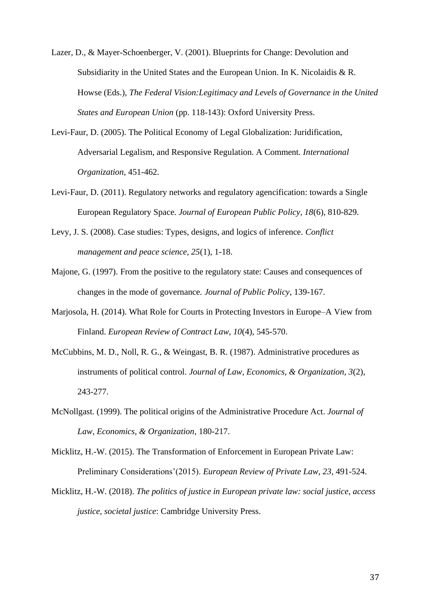- Lazer, D., & Mayer-Schoenberger, V. (2001). Blueprints for Change: Devolution and Subsidiarity in the United States and the European Union. In K. Nicolaidis & R. Howse (Eds.), *The Federal Vision:Legitimacy and Levels of Governance in the United States and European Union* (pp. 118-143): Oxford University Press.
- Levi-Faur, D. (2005). The Political Economy of Legal Globalization: Juridification, Adversarial Legalism, and Responsive Regulation. A Comment. *International Organization*, 451-462.
- Levi-Faur, D. (2011). Regulatory networks and regulatory agencification: towards a Single European Regulatory Space. *Journal of European Public Policy, 18*(6), 810-829.
- Levy, J. S. (2008). Case studies: Types, designs, and logics of inference. *Conflict management and peace science, 25*(1), 1-18.
- Majone, G. (1997). From the positive to the regulatory state: Causes and consequences of changes in the mode of governance. *Journal of Public Policy*, 139-167.
- Marjosola, H. (2014). What Role for Courts in Protecting Investors in Europe–A View from Finland. *European Review of Contract Law, 10*(4), 545-570.
- McCubbins, M. D., Noll, R. G., & Weingast, B. R. (1987). Administrative procedures as instruments of political control. *Journal of Law, Economics, & Organization, 3*(2), 243-277.
- McNollgast. (1999). The political origins of the Administrative Procedure Act. *Journal of Law, Economics, & Organization*, 180-217.
- Micklitz, H.-W. (2015). The Transformation of Enforcement in European Private Law: Preliminary Considerations'(2015). *European Review of Private Law, 23*, 491-524.
- Micklitz, H.-W. (2018). *The politics of justice in European private law: social justice, access justice, societal justice*: Cambridge University Press.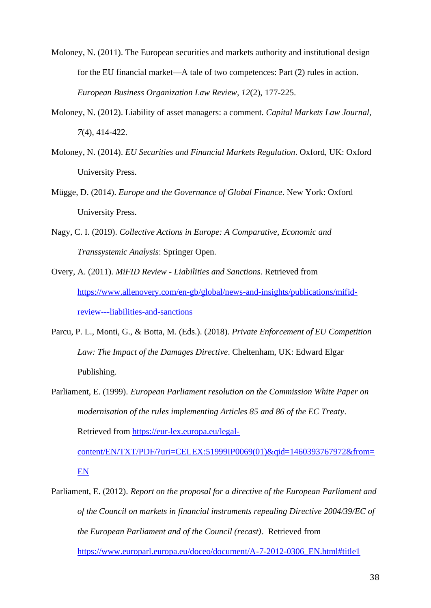- Moloney, N. (2011). The European securities and markets authority and institutional design for the EU financial market—A tale of two competences: Part (2) rules in action. *European Business Organization Law Review, 12*(2), 177-225.
- Moloney, N. (2012). Liability of asset managers: a comment. *Capital Markets Law Journal, 7*(4), 414-422.
- Moloney, N. (2014). *EU Securities and Financial Markets Regulation*. Oxford, UK: Oxford University Press.
- Mügge, D. (2014). *Europe and the Governance of Global Finance*. New York: Oxford University Press.
- Nagy, C. I. (2019). *Collective Actions in Europe: A Comparative, Economic and Transsystemic Analysis*: Springer Open.
- Overy, A. (2011). *MiFID Review - Liabilities and Sanctions*. Retrieved from [https://www.allenovery.com/en-gb/global/news-and-insights/publications/mifid](https://www.allenovery.com/en-gb/global/news-and-insights/publications/mifid-review---liabilities-and-sanctions)[review---liabilities-and-sanctions](https://www.allenovery.com/en-gb/global/news-and-insights/publications/mifid-review---liabilities-and-sanctions)
- Parcu, P. L., Monti, G., & Botta, M. (Eds.). (2018). *Private Enforcement of EU Competition Law: The Impact of the Damages Directive*. Cheltenham, UK: Edward Elgar Publishing.
- Parliament, E. (1999). *European Parliament resolution on the Commission White Paper on modernisation of the rules implementing Articles 85 and 86 of the EC Treaty*. Retrieved from [https://eur-lex.europa.eu/legal-](https://eur-lex.europa.eu/legal-content/EN/TXT/PDF/?uri=CELEX:51999IP0069(01)&qid=1460393767972&from=EN)

[content/EN/TXT/PDF/?uri=CELEX:51999IP0069\(01\)&qid=1460393767972&from=](https://eur-lex.europa.eu/legal-content/EN/TXT/PDF/?uri=CELEX:51999IP0069(01)&qid=1460393767972&from=EN) [EN](https://eur-lex.europa.eu/legal-content/EN/TXT/PDF/?uri=CELEX:51999IP0069(01)&qid=1460393767972&from=EN)

Parliament, E. (2012). *Report on the proposal for a directive of the European Parliament and of the Council on markets in financial instruments repealing Directive 2004/39/EC of the European Parliament and of the Council (recast)*. Retrieved from [https://www.europarl.europa.eu/doceo/document/A-7-2012-0306\\_EN.html#title1](https://www.europarl.europa.eu/doceo/document/A-7-2012-0306_EN.html#title1)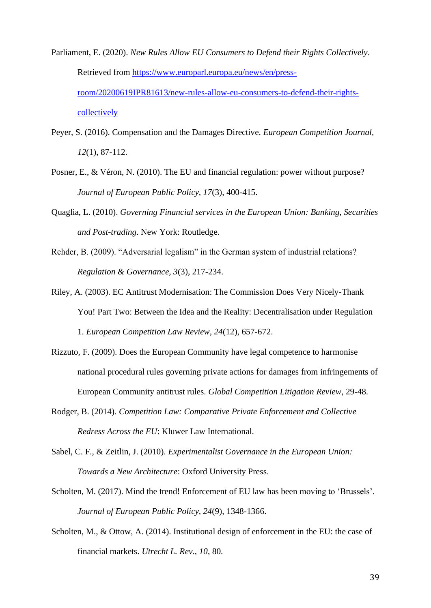- Parliament, E. (2020). *New Rules Allow EU Consumers to Defend their Rights Collectively*. Retrieved from [https://www.europarl.europa.eu/news/en/press](https://www.europarl.europa.eu/news/en/press-room/20200619IPR81613/new-rules-allow-eu-consumers-to-defend-their-rights-collectively)[room/20200619IPR81613/new-rules-allow-eu-consumers-to-defend-their-rights](https://www.europarl.europa.eu/news/en/press-room/20200619IPR81613/new-rules-allow-eu-consumers-to-defend-their-rights-collectively)[collectively](https://www.europarl.europa.eu/news/en/press-room/20200619IPR81613/new-rules-allow-eu-consumers-to-defend-their-rights-collectively)
- Peyer, S. (2016). Compensation and the Damages Directive. *European Competition Journal, 12*(1), 87-112.
- Posner, E., & Véron, N. (2010). The EU and financial regulation: power without purpose? *Journal of European Public Policy, 17*(3), 400-415.
- Quaglia, L. (2010). *Governing Financial services in the European Union: Banking, Securities and Post-trading*. New York: Routledge.
- Rehder, B. (2009). "Adversarial legalism" in the German system of industrial relations? *Regulation & Governance, 3*(3), 217-234.
- Riley, A. (2003). EC Antitrust Modernisation: The Commission Does Very Nicely-Thank You! Part Two: Between the Idea and the Reality: Decentralisation under Regulation 1. *European Competition Law Review, 24*(12), 657-672.
- Rizzuto, F. (2009). Does the European Community have legal competence to harmonise national procedural rules governing private actions for damages from infringements of European Community antitrust rules. *Global Competition Litigation Review*, 29-48.
- Rodger, B. (2014). *Competition Law: Comparative Private Enforcement and Collective Redress Across the EU*: Kluwer Law International.
- Sabel, C. F., & Zeitlin, J. (2010). *Experimentalist Governance in the European Union: Towards a New Architecture*: Oxford University Press.
- Scholten, M. (2017). Mind the trend! Enforcement of EU law has been moving to 'Brussels'. *Journal of European Public Policy, 24*(9), 1348-1366.
- Scholten, M., & Ottow, A. (2014). Institutional design of enforcement in the EU: the case of financial markets. *Utrecht L. Rev., 10*, 80.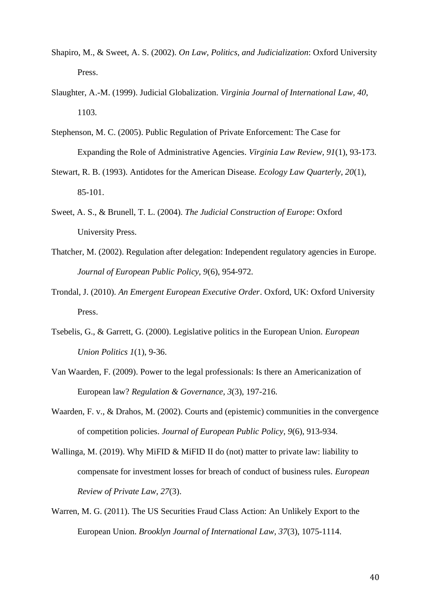- Shapiro, M., & Sweet, A. S. (2002). *On Law, Politics, and Judicialization*: Oxford University Press.
- Slaughter, A.-M. (1999). Judicial Globalization. *Virginia Journal of International Law, 40*, 1103.
- Stephenson, M. C. (2005). Public Regulation of Private Enforcement: The Case for Expanding the Role of Administrative Agencies. *Virginia Law Review, 91*(1), 93-173.
- Stewart, R. B. (1993). Antidotes for the American Disease. *Ecology Law Quarterly, 20*(1), 85-101.
- Sweet, A. S., & Brunell, T. L. (2004). *The Judicial Construction of Europe*: Oxford University Press.
- Thatcher, M. (2002). Regulation after delegation: Independent regulatory agencies in Europe. *Journal of European Public Policy, 9*(6), 954-972.
- Trondal, J. (2010). *An Emergent European Executive Order*. Oxford, UK: Oxford University Press.
- Tsebelis, G., & Garrett, G. (2000). Legislative politics in the European Union. *European Union Politics 1*(1), 9-36.
- Van Waarden, F. (2009). Power to the legal professionals: Is there an Americanization of European law? *Regulation & Governance, 3*(3), 197-216.
- Waarden, F. v., & Drahos, M. (2002). Courts and (epistemic) communities in the convergence of competition policies. *Journal of European Public Policy, 9*(6), 913-934.
- Wallinga, M. (2019). Why MiFID & MiFID II do (not) matter to private law: liability to compensate for investment losses for breach of conduct of business rules. *European Review of Private Law, 27*(3).
- Warren, M. G. (2011). The US Securities Fraud Class Action: An Unlikely Export to the European Union. *Brooklyn Journal of International Law, 37*(3), 1075-1114.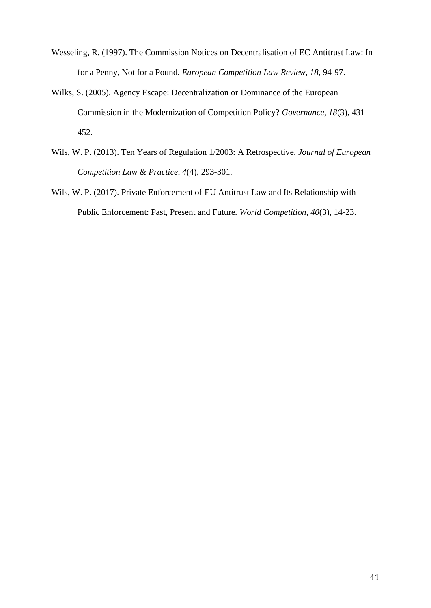- Wesseling, R. (1997). The Commission Notices on Decentralisation of EC Antitrust Law: In for a Penny, Not for a Pound. *European Competition Law Review, 18*, 94-97.
- Wilks, S. (2005). Agency Escape: Decentralization or Dominance of the European Commission in the Modernization of Competition Policy? *Governance, 18*(3), 431- 452.
- Wils, W. P. (2013). Ten Years of Regulation 1/2003: A Retrospective. *Journal of European Competition Law & Practice, 4*(4), 293-301.
- Wils, W. P. (2017). Private Enforcement of EU Antitrust Law and Its Relationship with Public Enforcement: Past, Present and Future. *World Competition, 40*(3), 14-23.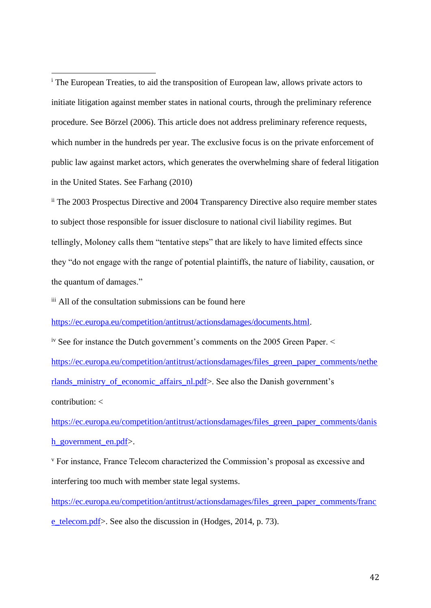<sup>i</sup> The European Treaties, to aid the transposition of European law, allows private actors to initiate litigation against member states in national courts, through the preliminary reference procedure. See Börzel (2006). This article does not address preliminary reference requests, which number in the hundreds per year. The exclusive focus is on the private enforcement of public law against market actors, which generates the overwhelming share of federal litigation in the United States. See Farhang (2010)

ii The 2003 Prospectus Directive and 2004 Transparency Directive also require member states to subject those responsible for issuer disclosure to national civil liability regimes. But tellingly, Moloney calls them "tentative steps" that are likely to have limited effects since they "do not engage with the range of potential plaintiffs, the nature of liability, causation, or the quantum of damages."

iii All of the consultation submissions can be found here

[https://ec.europa.eu/competition/antitrust/actionsdamages/documents.html.](https://ec.europa.eu/competition/antitrust/actionsdamages/documents.html)

iv See for instance the Dutch government's comments on the 2005 Green Paper. < [https://ec.europa.eu/competition/antitrust/actionsdamages/files\\_green\\_paper\\_comments/nethe](https://ec.europa.eu/competition/antitrust/actionsdamages/files_green_paper_comments/netherlands_ministry_of_economic_affairs_nl.pdf) [rlands\\_ministry\\_of\\_economic\\_affairs\\_nl.pdf>](https://ec.europa.eu/competition/antitrust/actionsdamages/files_green_paper_comments/netherlands_ministry_of_economic_affairs_nl.pdf). See also the Danish government's contribution: <

[https://ec.europa.eu/competition/antitrust/actionsdamages/files\\_green\\_paper\\_comments/danis](https://ec.europa.eu/competition/antitrust/actionsdamages/files_green_paper_comments/danish_government_en.pdf) [h\\_government\\_en.pdf>](https://ec.europa.eu/competition/antitrust/actionsdamages/files_green_paper_comments/danish_government_en.pdf).

<sup>v</sup> For instance, France Telecom characterized the Commission's proposal as excessive and interfering too much with member state legal systems.

[https://ec.europa.eu/competition/antitrust/actionsdamages/files\\_green\\_paper\\_comments/franc](https://ec.europa.eu/competition/antitrust/actionsdamages/files_green_paper_comments/france_telecom.pdf)

[e\\_telecom.pdf>](https://ec.europa.eu/competition/antitrust/actionsdamages/files_green_paper_comments/france_telecom.pdf). See also the discussion in (Hodges, 2014, p. 73).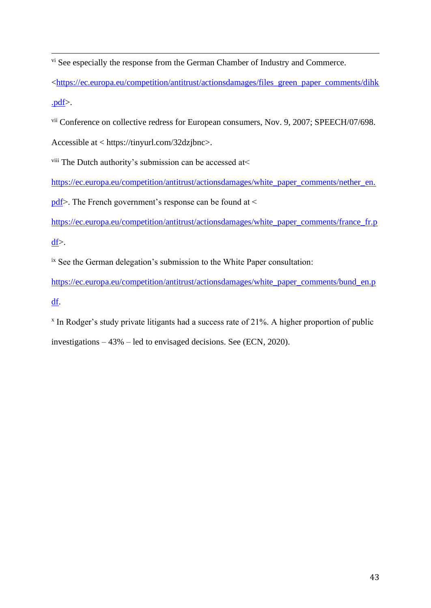<sup>vi</sup> See especially the response from the German Chamber of Industry and Commerce.

[<https://ec.europa.eu/competition/antitrust/actionsdamages/files\\_green\\_paper\\_comments/dihk](https://ec.europa.eu/competition/antitrust/actionsdamages/files_green_paper_comments/dihk.pdf) [.pdf>](https://ec.europa.eu/competition/antitrust/actionsdamages/files_green_paper_comments/dihk.pdf).

vii Conference on collective redress for European consumers, Nov. 9, 2007; SPEECH/07/698.

Accessible at < https://tinyurl.com/32dzjbnc>.

viii The Dutch authority's submission can be accessed at<

[https://ec.europa.eu/competition/antitrust/actionsdamages/white\\_paper\\_comments/nether\\_en.](https://ec.europa.eu/competition/antitrust/actionsdamages/white_paper_comments/nether_en.pdf)

[pdf>](https://ec.europa.eu/competition/antitrust/actionsdamages/white_paper_comments/nether_en.pdf). The French government's response can be found at <

[https://ec.europa.eu/competition/antitrust/actionsdamages/white\\_paper\\_comments/france\\_fr.p](https://ec.europa.eu/competition/antitrust/actionsdamages/white_paper_comments/france_fr.pdf)

[df>](https://ec.europa.eu/competition/antitrust/actionsdamages/white_paper_comments/france_fr.pdf).

ix See the German delegation's submission to the White Paper consultation:

[https://ec.europa.eu/competition/antitrust/actionsdamages/white\\_paper\\_comments/bund\\_en.p](https://ec.europa.eu/competition/antitrust/actionsdamages/white_paper_comments/bund_en.pdf) [df.](https://ec.europa.eu/competition/antitrust/actionsdamages/white_paper_comments/bund_en.pdf)

x In Rodger's study private litigants had a success rate of 21%. A higher proportion of public investigations – 43% – led to envisaged decisions. See (ECN, 2020).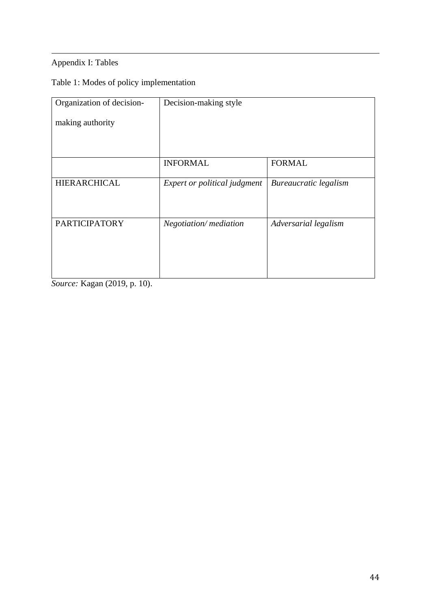# Appendix I: Tables

# Table 1: Modes of policy implementation

| Organization of decision- | Decision-making style        |                       |  |  |
|---------------------------|------------------------------|-----------------------|--|--|
| making authority          |                              |                       |  |  |
|                           |                              |                       |  |  |
|                           | <b>INFORMAL</b>              | <b>FORMAL</b>         |  |  |
|                           |                              |                       |  |  |
| <b>HIERARCHICAL</b>       | Expert or political judgment | Bureaucratic legalism |  |  |
|                           |                              |                       |  |  |
| <b>PARTICIPATORY</b>      | Negotiation/mediation        | Adversarial legalism  |  |  |
|                           |                              |                       |  |  |
|                           |                              |                       |  |  |
|                           |                              |                       |  |  |

*Source:* Kagan (2019, p. 10).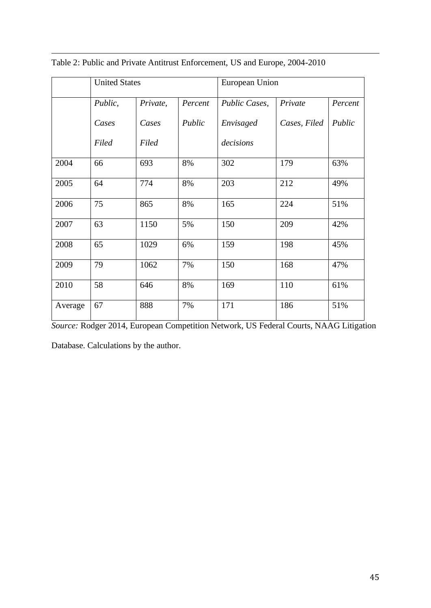|         | <b>United States</b> |          |         | European Union |              |         |
|---------|----------------------|----------|---------|----------------|--------------|---------|
|         | Public,              | Private, | Percent | Public Cases,  | Private      | Percent |
|         | Cases                | Cases    | Public  | Envisaged      | Cases, Filed | Public  |
|         | Filed                | Filed    |         | decisions      |              |         |
| 2004    | 66                   | 693      | 8%      | 302            | 179          | 63%     |
| 2005    | 64                   | 774      | 8%      | 203            | 212          | 49%     |
| 2006    | 75                   | 865      | 8%      | 165            | 224          | 51%     |
| 2007    | 63                   | 1150     | 5%      | 150            | 209          | 42%     |
| 2008    | 65                   | 1029     | 6%      | 159            | 198          | 45%     |
| 2009    | 79                   | 1062     | 7%      | 150            | 168          | 47%     |
| 2010    | 58                   | 646      | 8%      | 169            | 110          | 61%     |
| Average | 67                   | 888      | 7%      | 171            | 186          | 51%     |

Table 2: Public and Private Antitrust Enforcement, US and Europe, 2004-2010

*Source:* Rodger 2014, European Competition Network, US Federal Courts, NAAG Litigation

Database. Calculations by the author.